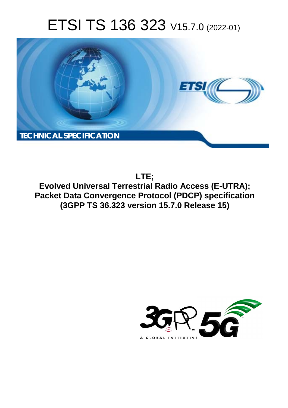# ETSI TS 136 323 V15.7.0 (2022-01)



**LTE; Evolved Universal Terrestrial Radio Access (E-UTRA); Packet Data Convergence Protocol (PDCP) specification (3GPP TS 36.323 version 15.7.0 Release 15)** 

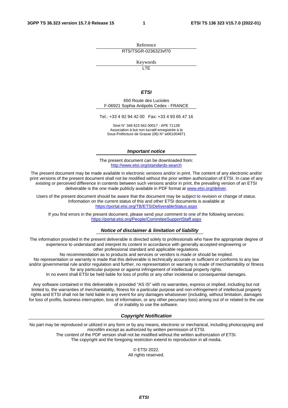Reference RTS/TSGR-0236323vf70

Keywords

 $\overline{\mathsf{ITF}}$ 

#### *ETSI*

650 Route des Lucioles F-06921 Sophia Antipolis Cedex - FRANCE

Tel.: +33 4 92 94 42 00 Fax: +33 4 93 65 47 16

Siret N° 348 623 562 00017 - APE 7112B Association à but non lucratif enregistrée à la Sous-Préfecture de Grasse (06) N° w061004871

#### *Important notice*

The present document can be downloaded from: <http://www.etsi.org/standards-search>

The present document may be made available in electronic versions and/or in print. The content of any electronic and/or print versions of the present document shall not be modified without the prior written authorization of ETSI. In case of any existing or perceived difference in contents between such versions and/or in print, the prevailing version of an ETSI deliverable is the one made publicly available in PDF format at [www.etsi.org/deliver](http://www.etsi.org/deliver).

Users of the present document should be aware that the document may be subject to revision or change of status. Information on the current status of this and other ETSI documents is available at <https://portal.etsi.org/TB/ETSIDeliverableStatus.aspx>

If you find errors in the present document, please send your comment to one of the following services: <https://portal.etsi.org/People/CommiteeSupportStaff.aspx>

#### *Notice of disclaimer & limitation of liability*

The information provided in the present deliverable is directed solely to professionals who have the appropriate degree of experience to understand and interpret its content in accordance with generally accepted engineering or other professional standard and applicable regulations.

No recommendation as to products and services or vendors is made or should be implied.

No representation or warranty is made that this deliverable is technically accurate or sufficient or conforms to any law and/or governmental rule and/or regulation and further, no representation or warranty is made of merchantability or fitness for any particular purpose or against infringement of intellectual property rights.

In no event shall ETSI be held liable for loss of profits or any other incidental or consequential damages.

Any software contained in this deliverable is provided "AS IS" with no warranties, express or implied, including but not limited to, the warranties of merchantability, fitness for a particular purpose and non-infringement of intellectual property rights and ETSI shall not be held liable in any event for any damages whatsoever (including, without limitation, damages for loss of profits, business interruption, loss of information, or any other pecuniary loss) arising out of or related to the use of or inability to use the software.

#### *Copyright Notification*

No part may be reproduced or utilized in any form or by any means, electronic or mechanical, including photocopying and microfilm except as authorized by written permission of ETSI. The content of the PDF version shall not be modified without the written authorization of ETSI.

The copyright and the foregoing restriction extend to reproduction in all media.

© ETSI 2022. All rights reserved.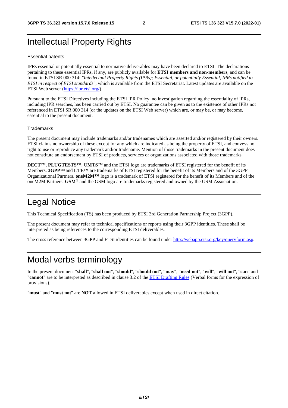## Intellectual Property Rights

#### Essential patents

IPRs essential or potentially essential to normative deliverables may have been declared to ETSI. The declarations pertaining to these essential IPRs, if any, are publicly available for **ETSI members and non-members**, and can be found in ETSI SR 000 314: *"Intellectual Property Rights (IPRs); Essential, or potentially Essential, IPRs notified to ETSI in respect of ETSI standards"*, which is available from the ETSI Secretariat. Latest updates are available on the ETSI Web server ([https://ipr.etsi.org/\)](https://ipr.etsi.org/).

Pursuant to the ETSI Directives including the ETSI IPR Policy, no investigation regarding the essentiality of IPRs, including IPR searches, has been carried out by ETSI. No guarantee can be given as to the existence of other IPRs not referenced in ETSI SR 000 314 (or the updates on the ETSI Web server) which are, or may be, or may become, essential to the present document.

#### **Trademarks**

The present document may include trademarks and/or tradenames which are asserted and/or registered by their owners. ETSI claims no ownership of these except for any which are indicated as being the property of ETSI, and conveys no right to use or reproduce any trademark and/or tradename. Mention of those trademarks in the present document does not constitute an endorsement by ETSI of products, services or organizations associated with those trademarks.

**DECT™**, **PLUGTESTS™**, **UMTS™** and the ETSI logo are trademarks of ETSI registered for the benefit of its Members. **3GPP™** and **LTE™** are trademarks of ETSI registered for the benefit of its Members and of the 3GPP Organizational Partners. **oneM2M™** logo is a trademark of ETSI registered for the benefit of its Members and of the oneM2M Partners. **GSM**® and the GSM logo are trademarks registered and owned by the GSM Association.

## Legal Notice

This Technical Specification (TS) has been produced by ETSI 3rd Generation Partnership Project (3GPP).

The present document may refer to technical specifications or reports using their 3GPP identities. These shall be interpreted as being references to the corresponding ETSI deliverables.

The cross reference between 3GPP and ETSI identities can be found under<http://webapp.etsi.org/key/queryform.asp>.

### Modal verbs terminology

In the present document "**shall**", "**shall not**", "**should**", "**should not**", "**may**", "**need not**", "**will**", "**will not**", "**can**" and "**cannot**" are to be interpreted as described in clause 3.2 of the [ETSI Drafting Rules](https://portal.etsi.org/Services/editHelp!/Howtostart/ETSIDraftingRules.aspx) (Verbal forms for the expression of provisions).

"**must**" and "**must not**" are **NOT** allowed in ETSI deliverables except when used in direct citation.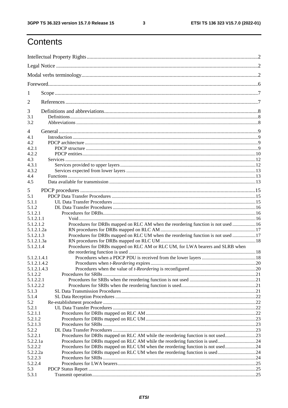$\mathbf{3}$ 

## Contents

| 1                      |                                                                                   |  |
|------------------------|-----------------------------------------------------------------------------------|--|
| $\overline{2}$         |                                                                                   |  |
| 3                      |                                                                                   |  |
| 3.1<br>3.2             |                                                                                   |  |
| 4                      |                                                                                   |  |
| 4.1                    |                                                                                   |  |
| 4.2                    |                                                                                   |  |
| 4.2.1<br>4.2.2         |                                                                                   |  |
| 4.3                    |                                                                                   |  |
| 4.3.1                  |                                                                                   |  |
| 4.3.2                  |                                                                                   |  |
| 4.4                    |                                                                                   |  |
| 4.5                    |                                                                                   |  |
|                        |                                                                                   |  |
| 5<br>5.1               |                                                                                   |  |
| 5.1.1                  |                                                                                   |  |
| 5.1.2                  |                                                                                   |  |
| 5.1.2.1                |                                                                                   |  |
| 5.1.2.1.1              |                                                                                   |  |
| 5.1.2.1.2              | Procedures for DRBs mapped on RLC AM when the reordering function is not used  16 |  |
| 5.1.2.1.2a             |                                                                                   |  |
| 5.1.2.1.3              | Procedures for DRBs mapped on RLC UM when the reordering function is not used 17  |  |
| 5.1.2.1.3a             |                                                                                   |  |
| 5.1.2.1.4              | Procedures for DRBs mapped on RLC AM or RLC UM, for LWA bearers and SLRB when     |  |
|                        |                                                                                   |  |
| 5.1.2.1.4.1            |                                                                                   |  |
| 5.1.2.1.4.2            |                                                                                   |  |
| 5.1.2.1.4.3<br>5.1.2.2 |                                                                                   |  |
| 5.1.2.2.1              |                                                                                   |  |
| 5.1.2.2.2              |                                                                                   |  |
| 5.1.3                  |                                                                                   |  |
| 5.1.4                  |                                                                                   |  |
| 5.2                    |                                                                                   |  |
| 5.2.1                  |                                                                                   |  |
| 5.2.1.1                |                                                                                   |  |
| 5.2.1.2                |                                                                                   |  |
| 5.2.1.3                |                                                                                   |  |
| 5.2.2                  |                                                                                   |  |
| 5.2.2.1                | Procedures for DRBs mapped on RLC AM while the reordering function is not used23  |  |
| 5.2.2.1a               | Procedures for DRBs mapped on RLC AM while the reordering function is used24      |  |
| 5.2.2.2                | Procedures for DRBs mapped on RLC UM when the reordering function is not used24   |  |
| 5.2.2.2a<br>5.2.2.3    |                                                                                   |  |
| 5.2.2.4                |                                                                                   |  |
| 5.3                    |                                                                                   |  |
| 5.3.1                  |                                                                                   |  |
|                        |                                                                                   |  |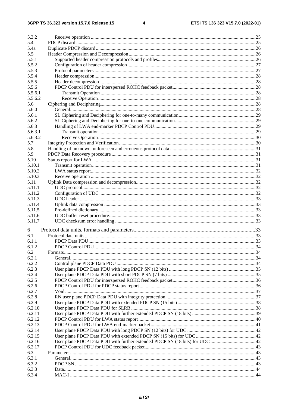| 5.3.2   |  |
|---------|--|
| 5.4     |  |
| 5.4a    |  |
| 5.5     |  |
| 5.5.1   |  |
| 5.5.2   |  |
| 5.5.3   |  |
| 5.5.4   |  |
| 5.5.5   |  |
| 5.5.6   |  |
| 5.5.6.1 |  |
| 5.5.6.2 |  |
| 5.6     |  |
| 5.6.0   |  |
| 5.6.1   |  |
| 5.6.2   |  |
| 5.6.3   |  |
| 5.6.3.1 |  |
| 5.6.3.2 |  |
| 5.7     |  |
| 5.8     |  |
| 5.9     |  |
| 5.10    |  |
| 5.10.1  |  |
| 5.10.2  |  |
| 5.10.3  |  |
| 5.11    |  |
| 5.11.1  |  |
| 5.11.2  |  |
| 5.11.3  |  |
| 5.11.4  |  |
| 5.11.5  |  |
| 5.11.6  |  |
| 5.11.7  |  |
| 6       |  |
| 6.1     |  |
| 6.1.1   |  |
| 6.1.2   |  |
| 6.2     |  |
| 6.2.1   |  |
| 6.2.2   |  |
| 6.2.3   |  |
| 6.2.4   |  |
| 6.2.5   |  |
| 6.2.6   |  |
| 6.2.7   |  |
| 6.2.8   |  |
| 6.2.9   |  |
| 6.2.10  |  |
| 6.2.11  |  |
| 6.2.12  |  |
| 6.2.13  |  |
| 6.2.14  |  |
| 6.2.15  |  |
| 6.2.16  |  |
| 6.2.17  |  |
| 6.3     |  |
| 6.3.1   |  |
| 6.3.2   |  |
| 6.3.3   |  |
| 6.3.4   |  |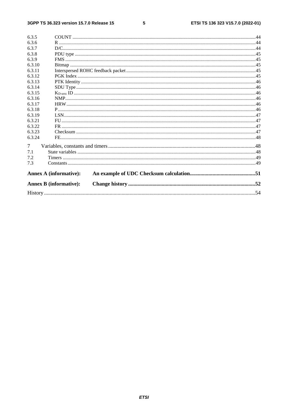#### $5\phantom{a}$

| 6.3.5          |                               |  |
|----------------|-------------------------------|--|
| 6.3.6          |                               |  |
| 6.3.7          |                               |  |
| 6.3.8          |                               |  |
| 6.3.9          |                               |  |
| 6.3.10         |                               |  |
| 6.3.11         |                               |  |
| 6.3.12         |                               |  |
| 6.3.13         |                               |  |
| 6.3.14         |                               |  |
| 6.3.15         |                               |  |
| 6.3.16         |                               |  |
| 6.3.17         |                               |  |
| 6.3.18         |                               |  |
| 6.3.19         |                               |  |
| 6.3.21         |                               |  |
| 6.3.22         |                               |  |
| 6.3.23         |                               |  |
| 6.3.24         |                               |  |
| $\overline{7}$ |                               |  |
| 7.1            |                               |  |
| 7.2            |                               |  |
| 7.3            |                               |  |
|                | <b>Annex A (informative):</b> |  |
|                | <b>Annex B</b> (informative): |  |
|                |                               |  |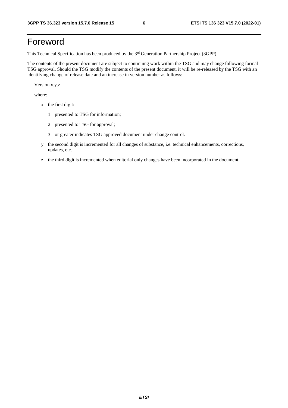## Foreword

This Technical Specification has been produced by the 3<sup>rd</sup> Generation Partnership Project (3GPP).

The contents of the present document are subject to continuing work within the TSG and may change following formal TSG approval. Should the TSG modify the contents of the present document, it will be re-released by the TSG with an identifying change of release date and an increase in version number as follows:

Version x.y.z

where:

- x the first digit:
	- 1 presented to TSG for information;
	- 2 presented to TSG for approval;
	- 3 or greater indicates TSG approved document under change control.
- y the second digit is incremented for all changes of substance, i.e. technical enhancements, corrections, updates, etc.
- z the third digit is incremented when editorial only changes have been incorporated in the document.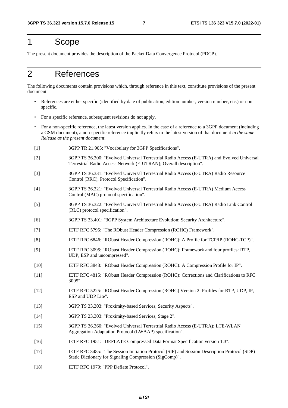## 1 Scope

The present document provides the description of the Packet Data Convergence Protocol (PDCP).

## 2 References

The following documents contain provisions which, through reference in this text, constitute provisions of the present document.

- References are either specific (identified by date of publication, edition number, version number, etc.) or non specific.
- For a specific reference, subsequent revisions do not apply.
- For a non-specific reference, the latest version applies. In the case of a reference to a 3GPP document (including a GSM document), a non-specific reference implicitly refers to the latest version of that document *in the same Release as the present document*.
- [1] 3GPP TR 21.905: "Vocabulary for 3GPP Specifications".
- [2] 3GPP TS 36.300: "Evolved Universal Terrestrial Radio Access (E-UTRA) and Evolved Universal Terrestrial Radio Access Network (E-UTRAN); Overall description".
- [3] 3GPP TS 36.331: "Evolved Universal Terrestrial Radio Access (E-UTRA) Radio Resource Control (RRC); Protocol Specification".
- [4] 3GPP TS 36.321: "Evolved Universal Terrestrial Radio Access (E-UTRA) Medium Access Control (MAC) protocol specification".
- [5] 3GPP TS 36.322: "Evolved Universal Terrestrial Radio Access (E-UTRA) Radio Link Control (RLC) protocol specification".
- [6] 3GPP TS 33.401: "3GPP System Architecture Evolution: Security Architecture".
- [7] IETF RFC 5795: "The RObust Header Compression (ROHC) Framework".
- [8] IETF RFC 6846: "RObust Header Compression (ROHC): A Profile for TCP/IP (ROHC-TCP)".
- [9] IETF RFC 3095: "RObust Header Compression (ROHC): Framework and four profiles: RTP, UDP, ESP and uncompressed".
- [10] IETF RFC 3843: "RObust Header Compression (ROHC): A Compression Profile for IP".
- [11] IETF RFC 4815: "RObust Header Compression (ROHC): Corrections and Clarifications to RFC 3095".
- [12] IETF RFC 5225: "RObust Header Compression (ROHC) Version 2: Profiles for RTP, UDP, IP, ESP and UDP Lite".
- [13] 3GPP TS 33.303: "Proximity-based Services; Security Aspects".
- [14] 3GPP TS 23.303: "Proximity-based Services; Stage 2".
- [15] 3GPP TS 36.360: "Evolved Universal Terrestrial Radio Access (E-UTRA); LTE-WLAN Aggregation Adaptation Protocol (LWAAP) specification".
- [16] IETF RFC 1951: "DEFLATE Compressed Data Format Specification version 1.3".
- [17] IETF RFC 3485: "The Session Initiation Protocol (SIP) and Session Description Protocol (SDP) Static Dictionary for Signaling Compression (SigComp)".
- [18] **IETF RFC 1979: "PPP Deflate Protocol".**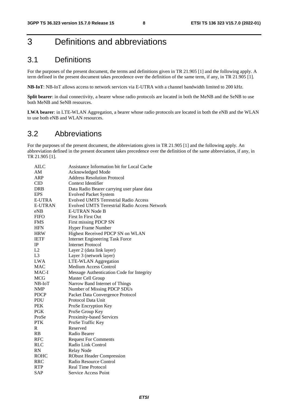## 3 Definitions and abbreviations

### 3.1 Definitions

For the purposes of the present document, the terms and definitions given in TR 21.905 [1] and the following apply. A term defined in the present document takes precedence over the definition of the same term, if any, in TR 21.905 [1].

**NB-IoT**: NB-IoT allows access to network services via E-UTRA with a channel bandwidth limited to 200 kHz.

**Split bearer**: in dual connectivity, a bearer whose radio protocols are located in both the MeNB and the SeNB to use both MeNB and SeNB resources.

**LWA bearer**: in LTE-WLAN Aggregation, a bearer whose radio protocols are located in both the eNB and the WLAN to use both eNB and WLAN resources.

### 3.2 Abbreviations

For the purposes of the present document, the abbreviations given in TR 21.905 [1] and the following apply. An abbreviation defined in the present document takes precedence over the definition of the same abbreviation, if any, in TR 21.905 [1].

| <b>AILC</b>    | Assistance Information bit for Local Cache           |  |  |  |
|----------------|------------------------------------------------------|--|--|--|
| AM             | Acknowledged Mode                                    |  |  |  |
| <b>ARP</b>     | <b>Address Resolution Protocol</b>                   |  |  |  |
| <b>CID</b>     | Context Identifier                                   |  |  |  |
| DRB            | Data Radio Bearer carrying user plane data           |  |  |  |
| <b>EPS</b>     | <b>Evolved Packet System</b>                         |  |  |  |
| <b>E-UTRA</b>  | <b>Evolved UMTS Terrestrial Radio Access</b>         |  |  |  |
| <b>E-UTRAN</b> | <b>Evolved UMTS Terrestrial Radio Access Network</b> |  |  |  |
| eNB            | <b>E-UTRAN Node B</b>                                |  |  |  |
| <b>FIFO</b>    | <b>First In First Out</b>                            |  |  |  |
| <b>FMS</b>     | First missing PDCP SN                                |  |  |  |
| <b>HFN</b>     | <b>Hyper Frame Number</b>                            |  |  |  |
| <b>HRW</b>     | Highest Received PDCP SN on WLAN                     |  |  |  |
| <b>IETF</b>    | <b>Internet Engineering Task Force</b>               |  |  |  |
| IP             | <b>Internet Protocol</b>                             |  |  |  |
| L2             | Layer 2 (data link layer)                            |  |  |  |
| L <sub>3</sub> | Layer 3 (network layer)                              |  |  |  |
| <b>LWA</b>     | LTE-WLAN Aggregation                                 |  |  |  |
| <b>MAC</b>     | Medium Access Control                                |  |  |  |
| MAC-I          | Message Authentication Code for Integrity            |  |  |  |
| <b>MCG</b>     | Master Cell Group                                    |  |  |  |
| $NB$ - $IoT$   | Narrow Band Internet of Things                       |  |  |  |
| <b>NMP</b>     | Number of Missing PDCP SDUs                          |  |  |  |
| <b>PDCP</b>    | Packet Data Convergence Protocol                     |  |  |  |
| <b>PDU</b>     | Protocol Data Unit                                   |  |  |  |
| <b>PEK</b>     | ProSe Encryption Key                                 |  |  |  |
| <b>PGK</b>     | ProSe Group Key                                      |  |  |  |
| ProSe          | Proximity-based Services                             |  |  |  |
| <b>PTK</b>     | ProSe Traffic Key                                    |  |  |  |
| R              | Reserved                                             |  |  |  |
| <b>RB</b>      | Radio Bearer                                         |  |  |  |
| <b>RFC</b>     | <b>Request For Comments</b>                          |  |  |  |
| <b>RLC</b>     | Radio Link Control                                   |  |  |  |
| RN             | <b>Relay Node</b>                                    |  |  |  |
| <b>ROHC</b>    | <b>RObust Header Compression</b>                     |  |  |  |
| <b>RRC</b>     | Radio Resource Control                               |  |  |  |
| <b>RTP</b>     | Real Time Protocol                                   |  |  |  |
| <b>SAP</b>     | Service Access Point                                 |  |  |  |
|                |                                                      |  |  |  |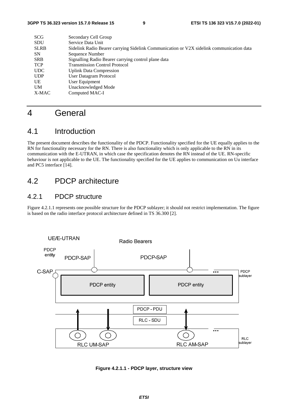| <b>SCG</b>  | Secondary Cell Group                                                                     |
|-------------|------------------------------------------------------------------------------------------|
| <b>SDU</b>  | Service Data Unit                                                                        |
| <b>SLRB</b> | Sidelink Radio Bearer carrying Sidelink Communication or V2X sidelink communication data |
| <b>SN</b>   | Sequence Number                                                                          |
| <b>SRB</b>  | Signalling Radio Bearer carrying control plane data                                      |
| <b>TCP</b>  | <b>Transmission Control Protocol</b>                                                     |
| <b>UDC</b>  | <b>Uplink Data Compression</b>                                                           |
| <b>UDP</b>  | User Datagram Protocol                                                                   |
| UE          | User Equipment                                                                           |
| <b>UM</b>   | Unacknowledged Mode                                                                      |
| X-MAC       | Computed MAC-I                                                                           |
|             |                                                                                          |

## 4 General

### 4.1 Introduction

The present document describes the functionality of the PDCP. Functionality specified for the UE equally applies to the RN for functionality necessary for the RN. There is also functionality which is only applicable to the RN in its communication with the E-UTRAN, in which case the specification denotes the RN instead of the UE. RN-specific behaviour is not applicable to the UE. The functionality specified for the UE applies to communication on Uu interface and PC5 interface [14].

### 4.2 PDCP architecture

### 4.2.1 PDCP structure

Figure 4.2.1.1 represents one possible structure for the PDCP sublayer; it should not restrict implementation. The figure is based on the radio interface protocol architecture defined in TS 36.300 [2].



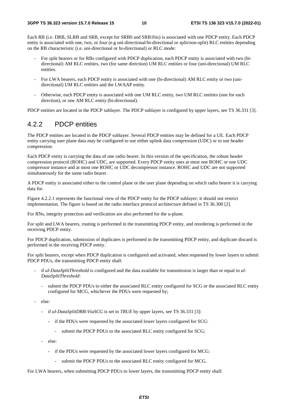Each RB (i.e. DRB, SLRB and SRB, except for SRB0 and SRB1bis) is associated with one PDCP entity. Each PDCP entity is associated with one, two, or four (e.g uni-directional/bi-directional or split/non-split) RLC entities depending on the RB characteristic (i.e. uni-directional or bi-directional) or RLC mode:

- For split bearers or for RBs configured with PDCP duplication, each PDCP entity is associated with two (bidirectional) AM RLC entities, two (for same direction) UM RLC entities or four (uni-directional) UM RLC entities.
- For LWA bearers, each PDCP entity is associated with one (bi-directional) AM RLC entity or two (unidirectional) UM RLC entities and the LWAAP entity.
- Otherwise, each PDCP entity is associated with one UM RLC entity, two UM RLC entities (one for each direction), or one AM RLC entity (bi-directional).

PDCP entities are located in the PDCP sublayer. The PDCP sublayer is configured by upper layers, see TS 36.331 [3].

### 4.2.2 PDCP entities

The PDCP entities are located in the PDCP sublayer. Several PDCP entities may be defined for a UE. Each PDCP entity carrying user plane data may be configured to use either uplink data compression (UDC) or to use header compression.

Each PDCP entity is carrying the data of one radio bearer. In this version of the specification, the robust header compression protocol (ROHC) and UDC, are supported. Every PDCP entity uses at most one ROHC or one UDC compressor instance and at most one ROHC or UDC decompressor instance. ROHC and UDC are not supported simultaneously for the same radio bearer.

A PDCP entity is associated either to the control plane or the user plane depending on which radio bearer it is carrying data for.

Figure 4.2.2.1 represents the functional view of the PDCP entity for the PDCP sublayer; it should not restrict implementation. The figure is based on the radio interface protocol architecture defined in TS 36.300 [2].

For RNs, integrity protection and verification are also performed for the u-plane.

For split and LWA bearers, routing is performed in the transmitting PDCP entity, and reordering is performed in the receiving PDCP entity.

For PDCP duplication, submission of duplicates is performed in the transmitting PDCP entity, and duplicate discard is performed in the receiving PDCP entity.

For split bearers, except when PDCP duplication is configured and activated, when requested by lower layers to submit PDCP PDUs, the transmitting PDCP entity shall:

- if *ul-DataSplitThreshold* is configured and the data available for transmission is larger than or equal to *ul-DataSplitThreshold*:
	- submit the PDCP PDUs to either the associated RLC entity configured for SCG or the associated RLC entity configured for MCG, whichever the PDUs were requested by;
- else:
	- if *ul-DataSplitDRB-ViaSCG* is set to *TRUE* by upper layers, see TS 36.331 [3]:
		- if the PDUs were requested by the associated lower layers configured for SCG:
			- submit the PDCP PDUs to the associated RLC entity configured for SCG;
	- else:
		- if the PDUs were requested by the associated lower layers configured for MCG:
			- submit the PDCP PDUs to the associated RLC entity configured for MCG.

For LWA bearers, when submitting PDCP PDUs to lower layers, the transmitting PDCP entity shall: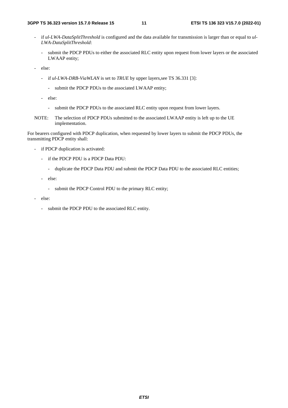- if *ul-LWA-DataSplitThreshold* is configured and the data available for transmission is larger than or equal to *ul-LWA-DataSplitThreshold*:
	- submit the PDCP PDUs to either the associated RLC entity upon request from lower layers or the associated LWAAP entity;
- else:
	- if *ul-LWA-DRB-ViaWLAN* is set to *TRUE* by upper layers,see TS 36.331 [3]:
		- submit the PDCP PDUs to the associated LWAAP entity;
	- else:
		- submit the PDCP PDUs to the associated RLC entity upon request from lower layers.
- NOTE: The selection of PDCP PDUs submitted to the associated LWAAP entity is left up to the UE implementation.

For bearers configured with PDCP duplication, when requested by lower layers to submit the PDCP PDUs, the transmitting PDCP entity shall:

- if PDCP duplication is activated:
	- if the PDCP PDU is a PDCP Data PDU:
		- duplicate the PDCP Data PDU and submit the PDCP Data PDU to the associated RLC entities;
	- else:
		- submit the PDCP Control PDU to the primary RLC entity;
- else:
	- submit the PDCP PDU to the associated RLC entity.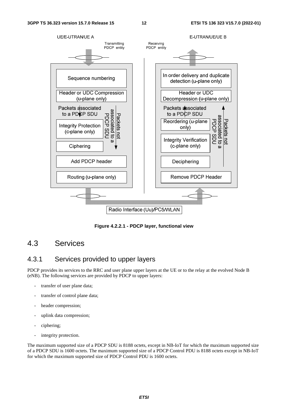

**Figure 4.2.2.1 - PDCP layer, functional view** 

### 4.3 Services

### 4.3.1 Services provided to upper layers

PDCP provides its services to the RRC and user plane upper layers at the UE or to the relay at the evolved Node B (eNB). The following services are provided by PDCP to upper layers:

- transfer of user plane data;
- transfer of control plane data;
- header compression;
- uplink data compression;
- ciphering;
- integrity protection.

The maximum supported size of a PDCP SDU is 8188 octets, except in NB-IoT for which the maximum supported size of a PDCP SDU is 1600 octets. The maximum supported size of a PDCP Control PDU is 8188 octets except in NB-IoT for which the maximum supported size of PDCP Control PDU is 1600 octets.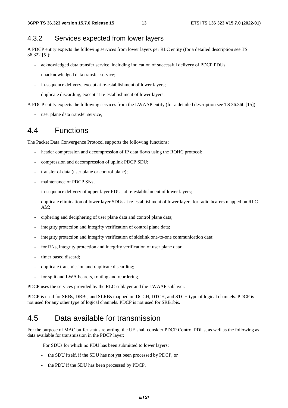### 4.3.2 Services expected from lower layers

A PDCP entity expects the following services from lower layers per RLC entity (for a detailed description see TS 36.322 [5]):

- acknowledged data transfer service, including indication of successful delivery of PDCP PDUs;
- unacknowledged data transfer service;
- in-sequence delivery, except at re-establishment of lower layers;
- duplicate discarding, except at re-establishment of lower layers.

A PDCP entity expects the following services from the LWAAP entity (for a detailed description see TS 36.360 [15]):

user plane data transfer service:

### 4.4 Functions

The Packet Data Convergence Protocol supports the following functions:

- header compression and decompression of IP data flows using the ROHC protocol;
- compression and decompression of uplink PDCP SDU;
- transfer of data (user plane or control plane);
- maintenance of PDCP SNs;
- in-sequence delivery of upper layer PDUs at re-establishment of lower layers;
- duplicate elimination of lower layer SDUs at re-establishment of lower layers for radio bearers mapped on RLC AM;
- ciphering and deciphering of user plane data and control plane data;
- integrity protection and integrity verification of control plane data;
- integrity protection and integrity verification of sidelink one-to-one communication data;
- for RNs, integrity protection and integrity verification of user plane data;
- timer based discard:
- duplicate transmission and duplicate discarding;
- for split and LWA bearers, routing and reordering.

PDCP uses the services provided by the RLC sublayer and the LWAAP sublayer.

PDCP is used for SRBs, DRBs, and SLRBs mapped on DCCH, DTCH, and STCH type of logical channels. PDCP is not used for any other type of logical channels. PDCP is not used for SRB1bis.

### 4.5 Data available for transmission

For the purpose of MAC buffer status reporting, the UE shall consider PDCP Control PDUs, as well as the following as data available for transmission in the PDCP layer:

For SDUs for which no PDU has been submitted to lower layers:

- the SDU itself, if the SDU has not yet been processed by PDCP, or
- the PDU if the SDU has been processed by PDCP.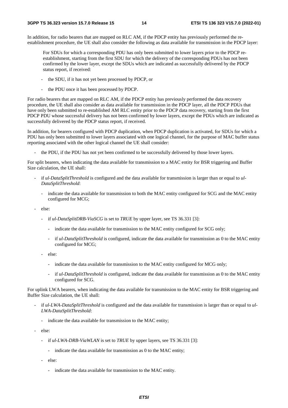In addition, for radio bearers that are mapped on RLC AM, if the PDCP entity has previously performed the reestablishment procedure, the UE shall also consider the following as data available for transmission in the PDCP layer:

For SDUs for which a corresponding PDU has only been submitted to lower layers prior to the PDCP reestablishment, starting from the first SDU for which the delivery of the corresponding PDUs has not been confirmed by the lower layer, except the SDUs which are indicated as successfully delivered by the PDCP status report, if received:

- the SDU, if it has not yet been processed by PDCP, or
- the PDU once it has been processed by PDCP.

For radio bearers that are mapped on RLC AM, if the PDCP entity has previously performed the data recovery procedure, the UE shall also consider as data available for transmission in the PDCP layer, all the PDCP PDUs that have only been submitted to re-established AM RLC entity prior to the PDCP data recovery, starting from the first PDCP PDU whose successful delivery has not been confirmed by lower layers, except the PDUs which are indicated as successfully delivered by the PDCP status report, if received.

In addition, for bearers configured with PDCP duplication, when PDCP duplication is activated, for SDUs for which a PDU has only been submitted to lower layers associated with one logical channel, for the purpose of MAC buffer status reporting associated with the other logical channel the UE shall consider:

the PDU, if the PDU has not yet been confirmed to be successfully delivered by those lower layers.

For split bearers, when indicating the data available for transmission to a MAC entity for BSR triggering and Buffer Size calculation, the UE shall:

- if *ul-DataSplitThreshold* is configured and the data available for transmission is larger than or equal to *ul-DataSplitThreshold*:
	- indicate the data available for transmission to both the MAC entity configured for SCG and the MAC entity configured for MCG;
- else:
	- if *ul-DataSplitDRB-ViaSCG* is set to *TRUE* by upper layer, see TS 36.331 [3]:
		- indicate the data available for transmission to the MAC entity configured for SCG only;
		- if *ul-DataSplitThreshold* is configured, indicate the data available for transmission as 0 to the MAC entity configured for MCG;
	- else:
		- indicate the data available for transmission to the MAC entity configured for MCG only;
		- if *ul-DataSplitThreshold* is configured, indicate the data available for transmission as 0 to the MAC entity configured for SCG.

For uplink LWA bearers, when indicating the data available for transmission to the MAC entity for BSR triggering and Buffer Size calculation, the UE shall:

- if *ul-LWA-DataSplitThreshold* is configured and the data available for transmission is larger than or equal to *ul-LWA-DataSplitThreshold*:
	- indicate the data available for transmission to the MAC entity;
- else:
	- if *ul-LWA-DRB-ViaWLAN* is set to *TRUE* by upper layers, see TS 36.331 [3]:
		- indicate the data available for transmission as 0 to the MAC entity;
	- else:
		- indicate the data available for transmission to the MAC entity.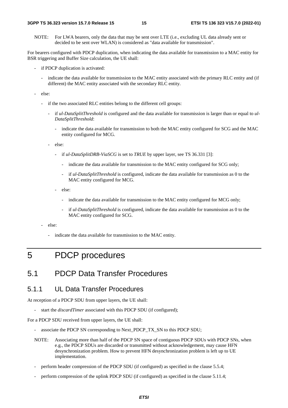NOTE: For LWA bearers, only the data that may be sent over LTE (i.e., excluding UL data already sent or decided to be sent over WLAN) is considered as "data available for transmission".

For bearers configured with PDCP duplication, when indicating the data available for transmission to a MAC entity for BSR triggering and Buffer Size calculation, the UE shall:

- if PDCP duplication is activated:
	- indicate the data available for transmission to the MAC entity associated with the primary RLC entity and (if different) the MAC entity associated with the secondary RLC entity.
- else:
	- if the two associated RLC entities belong to the different cell groups:
		- if *ul-DataSplitThreshold* is configured and the data available for transmission is larger than or equal to *ul-DataSplitThreshold*:
			- indicate the data available for transmission to both the MAC entity configured for SCG and the MAC entity configured for MCG.
		- else:
			- if *ul-DataSplitDRB-ViaSCG* is set to *TRUE* by upper layer, see TS 36.331 [3]:
				- indicate the data available for transmission to the MAC entity configured for SCG only;
				- if *ul-DataSplitThreshold* is configured, indicate the data available for transmission as 0 to the MAC entity configured for MCG.
			- else:
				- indicate the data available for transmission to the MAC entity configured for MCG only;
				- if ul-DataSplitThreshold is configured, indicate the data available for transmission as 0 to the MAC entity configured for SCG.
	- else:
		- indicate the data available for transmission to the MAC entity.

## 5 PDCP procedures

### 5.1 PDCP Data Transfer Procedures

### 5.1.1 UL Data Transfer Procedures

At reception of a PDCP SDU from upper layers, the UE shall:

start the *discardTimer* associated with this PDCP SDU (if configured);

For a PDCP SDU received from upper layers, the UE shall:

- associate the PDCP SN corresponding to Next\_PDCP\_TX\_SN to this PDCP SDU;
- NOTE: Associating more than half of the PDCP SN space of contiguous PDCP SDUs with PDCP SNs, when e.g., the PDCP SDUs are discarded or transmitted without acknowledgement, may cause HFN desynchronization problem. How to prevent HFN desynchronization problem is left up to UE implementation.
- perform header compression of the PDCP SDU (if configured) as specified in the clause 5.5.4;
- perform compression of the uplink PDCP SDU (if configured) as specified in the clause 5.11.4;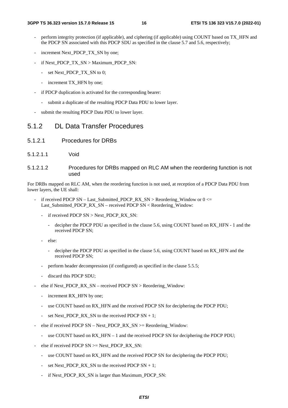- perform integrity protection (if applicable), and ciphering (if applicable) using COUNT based on TX\_HFN and the PDCP SN associated with this PDCP SDU as specified in the clause 5.7 and 5.6, respectively;
- increment Next\_PDCP\_TX\_SN by one;
- if Next\_PDCP\_TX\_SN > Maximum\_PDCP\_SN:
	- set Next\_PDCP\_TX\_SN to 0;
	- increment TX HFN by one;
- if PDCP duplication is activated for the corresponding bearer:
	- submit a duplicate of the resulting PDCP Data PDU to lower layer.
- submit the resulting PDCP Data PDU to lower layer.

### 5.1.2 DL Data Transfer Procedures

- 5.1.2.1 Procedures for DRBs
- 5.1.2.1.1 Void
- 5.1.2.1.2 Procedures for DRBs mapped on RLC AM when the reordering function is not used

For DRBs mapped on RLC AM, when the reordering function is not used, at reception of a PDCP Data PDU from lower layers, the UE shall:

- if received PDCP SN Last Submitted PDCP\_RX\_SN > Reordering\_Window or  $0 \le$ Last Submitted PDCP RX SN – received PDCP SN < Reordering Window:
	- if received PDCP SN > Next\_PDCP\_RX\_SN:
		- decipher the PDCP PDU as specified in the clause 5.6, using COUNT based on RX\_HFN 1 and the received PDCP SN;
	- else:
		- decipher the PDCP PDU as specified in the clause 5.6, using COUNT based on RX\_HFN and the received PDCP SN;
	- perform header decompression (if configured) as specified in the clause 5.5.5;
	- discard this PDCP SDU;
- else if Next PDCP\_RX\_SN received PDCP SN > Reordering\_Window:
	- increment RX\_HFN by one;
	- use COUNT based on RX HFN and the received PDCP SN for deciphering the PDCP PDU;
	- set Next PDCP\_RX\_SN to the received PDCP SN + 1;
- else if received PDCP SN Next\_PDCP\_RX\_SN >= Reordering\_Window:
	- use COUNT based on RX\_HFN 1 and the received PDCP SN for deciphering the PDCP PDU;
- else if received PDCP  $SN \geq$ Next PDCP RX SN:
	- use COUNT based on RX\_HFN and the received PDCP SN for deciphering the PDCP PDU;
	- set Next\_PDCP\_RX\_SN to the received PDCP  $SN + 1$ ;
	- if Next\_PDCP\_RX\_SN is larger than Maximum\_PDCP\_SN: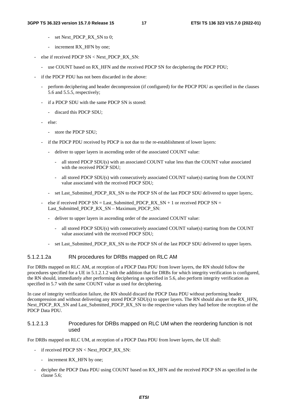- set Next\_PDCP\_RX\_SN to 0;
- increment RX HFN by one;
- else if received PDCP SN < Next\_PDCP\_RX\_SN:
	- use COUNT based on RX HFN and the received PDCP SN for deciphering the PDCP PDU;
- if the PDCP PDU has not been discarded in the above:
	- perform deciphering and header decompression (if configured) for the PDCP PDU as specified in the clauses 5.6 and 5.5.5, respectively;
	- if a PDCP SDU with the same PDCP SN is stored:
		- discard this PDCP SDU;
	- else:
		- store the PDCP SDU;
	- if the PDCP PDU received by PDCP is not due to the re-establishment of lower layers:
		- deliver to upper layers in ascending order of the associated COUNT value:
			- all stored PDCP SDU(s) with an associated COUNT value less than the COUNT value associated with the received PDCP SDU;
			- all stored PDCP SDU(s) with consecutively associated COUNT value(s) starting from the COUNT value associated with the received PDCP SDU;
		- set Last Submitted PDCP RX SN to the PDCP SN of the last PDCP SDU delivered to upper layers;.
	- else if received PDCP  $SN = Last\_Submitted\_PDCP_RX\_SN + 1$  or received PDCP  $SN =$ Last\_Submitted\_PDCP\_RX\_SN – Maximum\_PDCP\_SN:
		- deliver to upper layers in ascending order of the associated COUNT value:
			- all stored PDCP SDU(s) with consecutively associated COUNT value(s) starting from the COUNT value associated with the received PDCP SDU;
		- set Last Submitted PDCP RX SN to the PDCP SN of the last PDCP SDU delivered to upper layers.

#### 5.1.2.1.2a RN procedures for DRBs mapped on RLC AM

For DRBs mapped on RLC AM, at reception of a PDCP Data PDU from lower layers, the RN should follow the procedures specified for a UE in 5.1.2.1.2 with the addition that for DRBs for which integrity verification is configured, the RN should, immediately after performing deciphering as specified in 5.6, also perform integrity verification as specified in 5.7 with the same COUNT value as used for deciphering.

In case of integrity verification failure, the RN should discard the PDCP Data PDU without performing header decompression and without delivering any stored PDCP SDU(s) to upper layers. The RN should also set the RX\_HFN, Next PDCP\_RX\_SN and Last\_Submitted\_PDCP\_RX\_SN to the respective values they had before the reception of the PDCP Data PDU.

#### 5.1.2.1.3 Procedures for DRBs mapped on RLC UM when the reordering function is not used

For DRBs mapped on RLC UM, at reception of a PDCP Data PDU from lower layers, the UE shall:

- if received PDCP SN < Next\_PDCP\_RX\_SN:
	- increment RX\_HFN by one;
- decipher the PDCP Data PDU using COUNT based on RX\_HFN and the received PDCP SN as specified in the clause 5.6;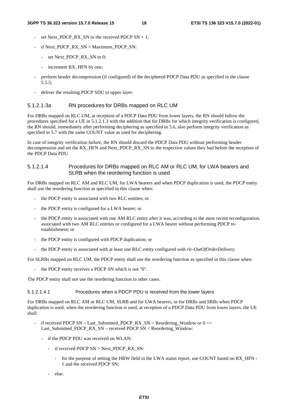- set Next\_PDCP\_RX\_SN to the received PDCP  $SN + 1$ ;
- if Next\_PDCP\_RX\_SN > Maximum\_PDCP\_SN:
	- set Next\_PDCP\_RX\_SN to 0:
	- increment RX HFN by one;
- perform header decompression (if configured) of the deciphered PDCP Data PDU as specified in the clause 5.5.5;
- deliver the resulting PDCP SDU to upper layer.

#### 5.1.2.1.3a RN procedures for DRBs mapped on RLC UM

For DRBs mapped on RLC UM, at reception of a PDCP Data PDU from lower layers, the RN should follow the procedures specified for a UE in 5.1.2.1.3 with the addition that for DRBs for which integrity verification is configured, the RN should, immediately after performing deciphering as specified in 5.6, also perform integrity verification as specified in 5.7 with the same COUNT value as used for deciphering.

In case of integrity verification failure, the RN should discard the PDCP Data PDU without performing header decompression and set the RX\_HFN and Next\_PDCP\_RX\_SN to the respective values they had before the reception of the PDCP Data PDU.

#### 5.1.2.1.4 Procedures for DRBs mapped on RLC AM or RLC UM, for LWA bearers and SLRB when the reordering function is used

For DRBs mapped on RLC AM and RLC UM, for LWA bearers and when PDCP duplication is used, the PDCP entity shall use the reordering function as specified in this clause when:

- the PDCP entity is associated with two RLC entities; or
- the PDCP entity is configured for a LWA bearer; or
- the PDCP entity is associated with one AM RLC entity after it was, according to the most recent reconfiguration, associated with two AM RLC entities or configured for a LWA bearer without performing PDCP reestablishment; or
- the PDCP entity is configured with PDCP duplication; or
- the PDCP entity is associated with at least one RLC entity configured with *rlc-OutOfOrderDelivery*.

For SLRBs mapped on RLC UM, the PDCP entity shall use the reordering function as specified in this clause when:

the PDCP entity receives a PDCP SN which is not "0".

The PDCP entity shall not use the reordering function in other cases.

5.1.2.1.4.1 Procedures when a PDCP PDU is received from the lower layers

For DRBs mapped on RLC AM or RLC UM, SLRB and for LWA bearers, or for DRBs and SRBs when PDCP duplication is used, when the reordering function is used, at reception of a PDCP Data PDU from lower layers, the UE shall:

- if received PDCP SN Last Submitted PDCP\_RX\_SN > Reordering\_Window or  $0 \le$ Last Submitted PDCP RX SN – received PDCP SN < Reordering Window:
	- if the PDCP PDU was received on WLAN:
		- if received PDCP SN > Next\_PDCP\_RX\_SN:
			- for the purpose of setting the HRW field in the LWA status report, use COUNT based on RX HFN -1 and the received PDCP SN;
		- else: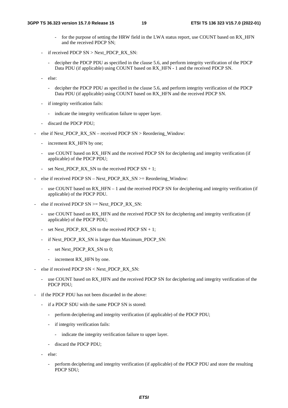- for the purpose of setting the HRW field in the LWA status report, use COUNT based on RX\_HFN and the received PDCP SN;
- if received PDCP  $SN > Next$  PDCP RX SN:
	- decipher the PDCP PDU as specified in the clause 5.6, and perform integrity verification of the PDCP Data PDU (if applicable) using COUNT based on RX HFN - 1 and the received PDCP SN.
- else:
	- decipher the PDCP PDU as specified in the clause 5.6, and perform integrity verification of the PDCP Data PDU (if applicable) using COUNT based on RX HFN and the received PDCP SN.
- if integrity verification fails:
	- indicate the integrity verification failure to upper layer.
- discard the PDCP PDU;
- else if Next\_PDCP\_RX\_SN received PDCP SN > Reordering\_Window:
	- increment RX\_HFN by one;
	- use COUNT based on RX\_HFN and the received PDCP SN for deciphering and integrity verification (if applicable) of the PDCP PDU;
	- set Next\_PDCP\_RX\_SN to the received PDCP  $SN + 1$ ;
- else if received PDCP  $SN Next\_PDCP\_RX\_SN \geq$  Reordering\_Window:
	- use COUNT based on RX\_HFN 1 and the received PDCP SN for deciphering and integrity verification (if applicable) of the PDCP PDU.
- else if received PDCP  $SN \geq Next\_PDCP_RX_SN$ :
	- use COUNT based on RX\_HFN and the received PDCP SN for deciphering and integrity verification (if applicable) of the PDCP PDU;
	- set Next\_PDCP\_RX\_SN to the received PDCP  $SN + 1$ ;
	- if Next\_PDCP\_RX\_SN is larger than Maximum\_PDCP\_SN:
		- set Next\_PDCP\_RX\_SN to 0;
		- increment RX\_HFN by one.
- else if received PDCP SN < Next\_PDCP\_RX\_SN:
	- use COUNT based on RX\_HFN and the received PDCP SN for deciphering and integrity verification of the PDCP PDU;
- if the PDCP PDU has not been discarded in the above:
	- if a PDCP SDU with the same PDCP SN is stored:
		- perform deciphering and integrity verification (if applicable) of the PDCP PDU;
		- if integrity verification fails:
			- indicate the integrity verification failure to upper layer.
		- discard the PDCP PDU;
	- else:
		- perform deciphering and integrity verification (if applicable) of the PDCP PDU and store the resulting PDCP SDU;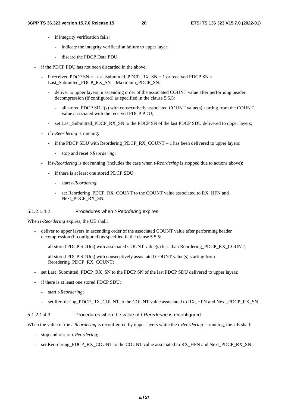- if integrity verification fails:
	- indicate the integrity verification failure to upper layer;
	- discard the PDCP Data PDU.
- if the PDCP PDU has not been discarded in the above:
	- if received PDCP  $SN = Last\_Submitted\_PDCP_RX\_SN + 1$  or received PDCP  $SN =$ Last Submitted PDCP RX SN – Maximum PDCP SN:
		- deliver to upper layers in ascending order of the associated COUNT value after performing header decompression (if configured) as specified in the clause 5.5.5:
			- all stored PDCP SDU(s) with consecutively associated COUNT value(s) starting from the COUNT value associated with the received PDCP PDU;
		- set Last\_Submitted\_PDCP\_RX\_SN to the PDCP SN of the last PDCP SDU delivered to upper layers;
	- if *t-Reordering* is running:
		- if the PDCP SDU with Reordering\_PDCP\_RX\_COUNT 1 has been delivered to upper layers:
			- stop and reset *t-Reordering*;
	- if *t-Reordering* is not running (includes the case when *t-Reordering* is stopped due to actions above):
		- if there is at least one stored PDCP SDU:
			- start *t-Reordering*;
			- set Reordering\_PDCP\_RX\_COUNT to the COUNT value associated to RX\_HFN and Next\_PDCP\_RX\_SN.

#### 5.1.2.1.4.2 Procedures when *t-Reordering* expires

When *t-Reordering* expires, the UE shall:

- deliver to upper layers in ascending order of the associated COUNT value after performing header decompression (if configured) as specified in the clause 5.5.5:
	- all stored PDCP SDU(s) with associated COUNT value(s) less than Reordering PDCP\_RX\_COUNT;
	- all stored PDCP SDU(s) with consecutively associated COUNT value(s) starting from Reordering\_PDCP\_RX\_COUNT;
- set Last\_Submitted\_PDCP\_RX\_SN to the PDCP SN of the last PDCP SDU delivered to upper layers;
- if there is at least one stored PDCP SDU:
	- start *t-Reordering*;
	- set Reordering PDCP\_RX\_COUNT to the COUNT value associated to RX\_HFN and Next\_PDCP\_RX\_SN.

#### 5.1.2.1.4.3 Procedures when the value of *t-Reordering* is reconfigured

When the value of the *t-Reordering* is reconfigured by upper layers while the *t-Reordering* is running, the UE shall:

- stop and restart *t-Reordering*;
- set Reordering\_PDCP\_RX\_COUNT to the COUNT value associated to RX\_HFN and Next\_PDCP\_RX\_SN.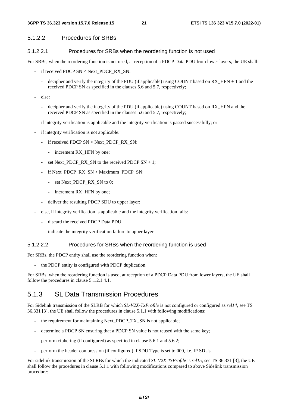#### **3GPP TS 36.323 version 15.7.0 Release 15 21 ETSI TS 136 323 V15.7.0 (2022-01)**

### 5.1.2.2 Procedures for SRBs

#### 5.1.2.2.1 Procedures for SRBs when the reordering function is not used

For SRBs, when the reordering function is not used, at reception of a PDCP Data PDU from lower layers, the UE shall:

- if received PDCP SN < Next\_PDCP\_RX\_SN:
	- decipher and verify the integrity of the PDU (if applicable) using COUNT based on RX HFN + 1 and the received PDCP SN as specified in the clauses 5.6 and 5.7, respectively;
- else:
	- decipher and verify the integrity of the PDU (if applicable) using COUNT based on RX\_HFN and the received PDCP SN as specified in the clauses 5.6 and 5.7, respectively;
- if integrity verification is applicable and the integrity verification is passed successfully; or
- if integrity verification is not applicable:
	- if received PDCP SN < Next\_PDCP\_RX\_SN:
		- increment RX HFN by one:
	- set Next PDCP\_RX\_SN to the received PDCP SN + 1;
	- if Next\_PDCP\_RX\_SN > Maximum\_PDCP\_SN:
		- set Next\_PDCP\_RX\_SN to 0;
		- increment RX\_HFN by one;
	- deliver the resulting PDCP SDU to upper layer;
- else, if integrity verification is applicable and the integrity verification fails:
	- discard the received PDCP Data PDU;
	- indicate the integrity verification failure to upper layer.

#### 5.1.2.2.2 Procedures for SRBs when the reordering function is used

For SRBs, the PDCP entity shall use the reordering function when:

the PDCP entity is configured with PDCP duplication.

For SRBs, when the reordering function is used, at reception of a PDCP Data PDU from lower layers, the UE shall follow the procedures in clause 5.1.2.1.4.1.

### 5.1.3 SL Data Transmission Procedures

For Sidelink transmission of the SLRB for which *SL-V2X-TxProfile* is not configured or configured as *rel14*, see TS 36.331 [3], the UE shall follow the procedures in clause 5.1.1 with following modifications:

- the requirement for maintaining Next PDCP TX SN is not applicable;
- determine a PDCP SN ensuring that a PDCP SN value is not reused with the same key;
- perform ciphering (if configured) as specified in clause 5.6.1 and 5.6.2;
- perform the header compression (if configured) if SDU Type is set to 000, i.e. IP SDUs.

For sidelink transmission of the SLRBs for which the indicated *SL-V2X-TxProfile* is *rel15*, see TS 36.331 [3], the UE shall follow the procedures in clause 5.1.1 with following modifications compared to above Sidelink transmission procedure: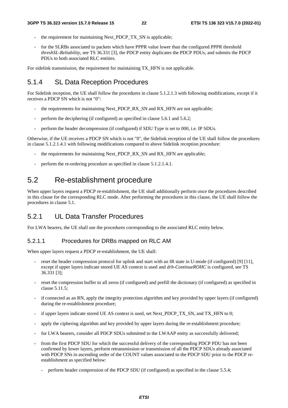- the requirement for maintaining Next\_PDCP\_TX\_SN is applicable;
- for the SLRBs associated to packets which have PPPR value lower than the configured PPPR threshold *threshSL-Reliability*, see TS 36.331 [3], the PDCP entity duplicates the PDCP PDUs, and submits the PDCP PDUs to both associated RLC entities.

For sidelink transmission, the requirement for maintaining TX HFN is not applicable.

### 5.1.4 SL Data Reception Procedures

For Sidelink reception, the UE shall follow the procedures in clause 5.1.2.1.3 with following modifications, except if it receives a PDCP SN which is not "0":

- the requirements for maintaining Next\_PDCP\_RX\_SN and RX\_HFN are not applicable;
- perform the deciphering (if configured) as specified in clause 5.6.1 and 5.6.2;
- perform the header decompression (if configured) if SDU Type is set to 000, i.e. IP SDUs.

Otherwise, if the UE receives a PDCP SN which is not "0", the Sidelink reception of the UE shall follow the procedures in clause 5.1.2.1.4.1 with following modifications compared to above Sidelink reception procedure:

- the requirements for maintaining Next\_PDCP\_RX\_SN and RX\_HFN are applicable;
- perform the re-ordering procedure as specified in clause 5.1.2.1.4.1.

### 5.2 Re-establishment procedure

When upper layers request a PDCP re-establishment, the UE shall additionally perform once the procedures described in this clause for the corresponding RLC mode. After performing the procedures in this clause, the UE shall follow the procedures in clause 5.1.

### 5.2.1 UL Data Transfer Procedures

For LWA bearers, the UE shall use the procedures corresponding to the associated RLC entity below.

#### 5.2.1.1 Procedures for DRBs mapped on RLC AM

When upper layers request a PDCP re-establishment, the UE shall:

- reset the header compression protocol for uplink and start with an IR state in U-mode (if configured) [9] [11], except if upper layers indicate stored UE AS context is used and *drb-ContinueROHC* is configured, see TS 36.331 [3];
- reset the compression buffer to all zeros (if configured) and prefill the dictionary (if configured) as specified in clause 5.11.5;
- if connected as an RN, apply the integrity protection algorithm and key provided by upper layers (if configured) during the re-establishment procedure;
- if upper layers indicate stored UE AS context is used, set Next\_PDCP\_TX\_SN, and TX\_HFN to 0;
- apply the ciphering algorithm and key provided by upper layers during the re-establishment procedure;
- for LWA bearers, consider all PDCP SDUs submitted to the LWAAP entity as successfully delivered;
- from the first PDCP SDU for which the successful delivery of the corresponding PDCP PDU has not been confirmed by lower layers, perform retransmission or transmission of all the PDCP SDUs already associated with PDCP SNs in ascending order of the COUNT values associated to the PDCP SDU prior to the PDCP reestablishment as specified below:
	- perform header compression of the PDCP SDU (if configured) as specified in the clause 5.5.4;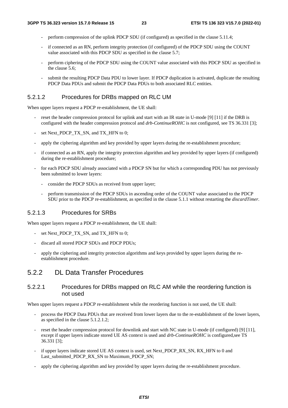- perform compression of the uplink PDCP SDU (if configured) as specified in the clause 5.11.4;
- if connected as an RN, perform integrity protection (if configured) of the PDCP SDU using the COUNT value associated with this PDCP SDU as specified in the clause 5.7;
- perform ciphering of the PDCP SDU using the COUNT value associated with this PDCP SDU as specified in the clause 5.6;
- submit the resulting PDCP Data PDU to lower layer. If PDCP duplication is activated, duplicate the resulting PDCP Data PDUs and submit the PDCP Data PDUs to both associated RLC entities.

#### 5.2.1.2 Procedures for DRBs mapped on RLC UM

When upper layers request a PDCP re-establishment, the UE shall:

- reset the header compression protocol for uplink and start with an IR state in U-mode [9] [11] if the DRB is configured with the header compression protocol and *drb-ContinueROHC* is not configured, see TS 36.331 [3];
- set Next\_PDCP\_TX\_SN, and TX\_HFN to 0;
- apply the ciphering algorithm and key provided by upper layers during the re-establishment procedure;
- if connected as an RN, apply the integrity protection algorithm and key provided by upper layers (if configured) during the re-establishment procedure;
- for each PDCP SDU already associated with a PDCP SN but for which a corresponding PDU has not previously been submitted to lower layers:
	- consider the PDCP SDUs as received from upper layer;
	- perform transmission of the PDCP SDUs in ascending order of the COUNT value associated to the PDCP SDU prior to the PDCP re-establishment, as specified in the clause 5.1.1 without restarting the *discardTimer*.

#### 5.2.1.3 Procedures for SRBs

When upper layers request a PDCP re-establishment, the UE shall:

- set Next\_PDCP\_TX\_SN, and TX\_HFN to 0;
- discard all stored PDCP SDUs and PDCP PDUs;
- apply the ciphering and integrity protection algorithms and keys provided by upper layers during the reestablishment procedure.

### 5.2.2 DL Data Transfer Procedures

#### 5.2.2.1 Procedures for DRBs mapped on RLC AM while the reordering function is not used

When upper layers request a PDCP re-establishment while the reordering function is not used, the UE shall:

- process the PDCP Data PDUs that are received from lower layers due to the re-establishment of the lower layers, as specified in the clause 5.1.2.1.2;
- reset the header compression protocol for downlink and start with NC state in U-mode (if configured) [9] [11], except if upper layers indicate stored UE AS context is used and *drb-ContinueROHC* is configured,see TS 36.331 [3];
- if upper layers indicate stored UE AS context is used, set Next\_PDCP\_RX\_SN, RX\_HFN to 0 and Last\_submitted\_PDCP\_RX\_SN to Maximum\_PDCP\_SN;
- apply the ciphering algorithm and key provided by upper layers during the re-establishment procedure.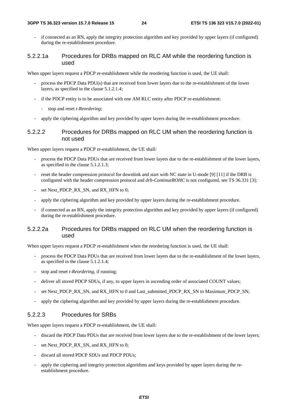if connected as an RN, apply the integrity protection algorithm and key provided by upper layers (if configured) during the re-establishment procedure.

#### 5.2.2.1a Procedures for DRBs mapped on RLC AM while the reordering function is used

When upper layers request a PDCP re-establishment while the reordering function is used, the UE shall:

- process the PDCP Data PDU(s) that are received from lower layers due to the re-establishment of the lower layers, as specified in the clause 5.1.2.1.4;
- if the PDCP entity is to be associated with one AM RLC entity after PDCP re-establishment:
	- stop and reset *t-Reordering*;
- apply the ciphering algorithm and key provided by upper layers during the re-establishment procedure.

#### 5.2.2.2 Procedures for DRBs mapped on RLC UM when the reordering function is not used

When upper layers request a PDCP re-establishment, the UE shall:

- process the PDCP Data PDUs that are received from lower layers due to the re-establishment of the lower layers, as specified in the clause 5.1.2.1.3;
- reset the header compression protocol for downlink and start with NC state in U-mode [9] [11] if the DRB is configured with the header compression protocol and *drb-ContinueROHC* is not configured, see TS 36.331 [3];
- set Next\_PDCP\_RX\_SN, and RX\_HFN to 0;
- apply the ciphering algorithm and key provided by upper layers during the re-establishment procedure.
- if connected as an RN, apply the integrity protection algorithm and key provided by upper layers (if configured) during the re-establishment procedure.

#### 5.2.2.2a Procedures for DRBs mapped on RLC UM when the reordering function is used

When upper layers request a PDCP re-establishment when the reordering function is used, the UE shall:

- process the PDCP Data PDUs that are received from lower layers due to the re-establishment of the lower layers, as specified in the clause 5.1.2.1.4;
- stop and reset *t-Reordering*, if running;
- deliver all stored PDCP SDUs, if any, to upper layers in ascending order of associated COUNT values;
- set Next\_PDCP\_RX\_SN, and RX\_HFN to 0 and Last\_submitted\_PDCP\_RX\_SN to Maximum\_PDCP\_SN;
- apply the ciphering algorithm and key provided by upper layers during the re-establishment procedure.

#### 5.2.2.3 Procedures for SRBs

When upper layers request a PDCP re-establishment, the UE shall:

- discard the PDCP Data PDUs that are received from lower layers due to the re-establishment of the lower layers;
- set Next\_PDCP\_RX\_SN, and RX\_HFN to 0;
- discard all stored PDCP SDUs and PDCP PDUs;
- apply the ciphering and integrity protection algorithms and keys provided by upper layers during the reestablishment procedure.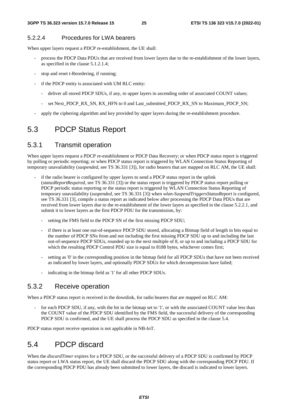#### 5.2.2.4 Procedures for LWA bearers

When upper layers request a PDCP re-establishment, the UE shall:

- process the PDCP Data PDUs that are received from lower layers due to the re-establishment of the lower layers, as specified in the clause 5.1.2.1.4;
- stop and reset t-Reordering, if running;
- if the PDCP entity is associated with UM RLC entity:
	- deliver all stored PDCP SDUs, if any, to upper layers in ascending order of associated COUNT values;
	- set Next\_PDCP\_RX\_SN, RX\_HFN to 0 and Last\_submitted\_PDCP\_RX\_SN to Maximum\_PDCP\_SN;
- apply the ciphering algorithm and key provided by upper layers during the re-establishment procedure.

### 5.3 PDCP Status Report

### 5.3.1 Transmit operation

When upper layers request a PDCP re-establishment or PDCP Data Recovery; or when PDCP status report is triggered by polling or periodic reporting; or when PDCP status report is triggered by WLAN Connection Status Reporting of temporary unavailability (*suspended*, see TS 36.331 [3]), for radio bearers that are mapped on RLC AM, the UE shall:

- if the radio bearer is configured by upper layers to send a PDCP status report in the uplink (*statusReportRequired*, see TS 36.331 [3]) or the status report is triggered by PDCP status report polling or PDCP periodic status reporting or the status report is triggered by WLAN Connection Status Reporting of temporary unavailability (*suspended*, see TS 36.331 [3]) when *wlan-SuspendTriggersStatusReport* is configured, see TS 36.331 [3], compile a status report as indicated below after processing the PDCP Data PDUs that are received from lower layers due to the re-establishment of the lower layers as specified in the clause 5.2.2.1, and submit it to lower layers as the first PDCP PDU for the transmission, by:
	- setting the FMS field to the PDCP SN of the first missing PDCP SDU;
	- if there is at least one out-of-sequence PDCP SDU stored, allocating a Bitmap field of length in bits equal to the number of PDCP SNs from and not including the first missing PDCP SDU up to and including the last out-of-sequence PDCP SDUs, rounded up to the next multiple of 8, or up to and including a PDCP SDU for which the resulting PDCP Control PDU size is equal to 8188 bytes, whichever comes first;
	- setting as '0' in the corresponding position in the bitmap field for all PDCP SDUs that have not been received as indicated by lower layers, and optionally PDCP SDUs for which decompression have failed;
	- indicating in the bitmap field as '1' for all other PDCP SDUs.

### 5.3.2 Receive operation

When a PDCP status report is received in the downlink, for radio bearers that are mapped on RLC AM:

for each PDCP SDU, if any, with the bit in the bitmap set to '1', or with the associated COUNT value less than the COUNT value of the PDCP SDU identified by the FMS field, the successful delivery of the corresponding PDCP SDU is confirmed, and the UE shall process the PDCP SDU as specified in the clause 5.4.

PDCP status report receive operation is not applicable in NB-IoT.

### 5.4 PDCP discard

When the *discardTimer* expires for a PDCP SDU, or the successful delivery of a PDCP SDU is confirmed by PDCP status report or LWA status report, the UE shall discard the PDCP SDU along with the corresponding PDCP PDU. If the corresponding PDCP PDU has already been submitted to lower layers, the discard is indicated to lower layers.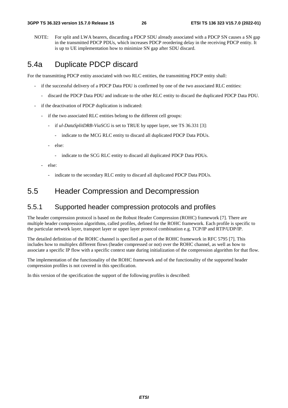NOTE: For split and LWA bearers, discarding a PDCP SDU already associated with a PDCP SN causes a SN gap in the transmitted PDCP PDUs, which increases PDCP reordering delay in the receiving PDCP entity. It is up to UE implementation how to minimize SN gap after SDU discard.

## 5.4a Duplicate PDCP discard

For the transmitting PDCP entity associated with two RLC entities, the transmitting PDCP entity shall:

- if the successful delivery of a PDCP Data PDU is confirmed by one of the two associated RLC entities:
	- discard the PDCP Data PDU and indicate to the other RLC entity to discard the duplicated PDCP Data PDU.
- if the deactivation of PDCP duplication is indicated:
	- if the two associated RLC entities belong to the different cell groups:
		- if *ul-DataSplitDRB-ViaSCG* is set to TRUE by upper layer, see TS 36.331 [3]:
			- indicate to the MCG RLC entity to discard all duplicated PDCP Data PDUs.
		- else:
			- indicate to the SCG RLC entity to discard all duplicated PDCP Data PDUs.
	- else:
		- indicate to the secondary RLC entity to discard all duplicated PDCP Data PDUs.

### 5.5 Header Compression and Decompression

### 5.5.1 Supported header compression protocols and profiles

The header compression protocol is based on the Robust Header Compression (ROHC) framework [7]. There are multiple header compression algorithms, called profiles, defined for the ROHC framework. Each profile is specific to the particular network layer, transport layer or upper layer protocol combination e.g. TCP/IP and RTP/UDP/IP.

The detailed definition of the ROHC channel is specified as part of the ROHC framework in RFC 5795 [7]. This includes how to multiplex different flows (header compressed or not) over the ROHC channel, as well as how to associate a specific IP flow with a specific context state during initialization of the compression algorithm for that flow.

The implementation of the functionality of the ROHC framework and of the functionality of the supported header compression profiles is not covered in this specification.

In this version of the specification the support of the following profiles is described: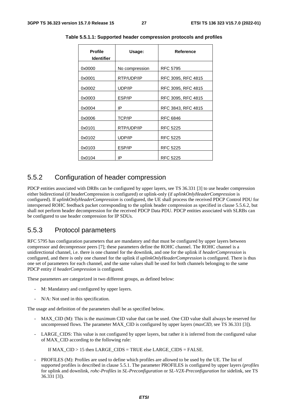| <b>Profile</b><br><b>Identifier</b> | Usage:         | <b>Reference</b>   |  |
|-------------------------------------|----------------|--------------------|--|
| 0x0000                              | No compression | <b>RFC 5795</b>    |  |
| 0x0001                              | RTP/UDP/IP     | RFC 3095, RFC 4815 |  |
| 0x0002                              | UDP/IP         | RFC 3095, RFC 4815 |  |
| 0x0003                              | ESP/IP         | RFC 3095, RFC 4815 |  |
| 0x0004                              | IP             | RFC 3843, RFC 4815 |  |
| 0x0006                              | <b>TCP/IP</b>  | <b>RFC 6846</b>    |  |
| 0x0101                              | RTP/UDP/IP     | <b>RFC 5225</b>    |  |
| 0x0102                              | UDP/IP         | <b>RFC 5225</b>    |  |
| 0x0103                              | ESP/IP         | <b>RFC 5225</b>    |  |
| 0x0104                              | IP             | <b>RFC 5225</b>    |  |

**Table 5.5.1.1: Supported header compression protocols and profiles** 

### 5.5.2 Configuration of header compression

PDCP entities associated with DRBs can be configured by upper layers, see TS 36.331 [3] to use header compression either bidirectional (if headerCompression is configured) or uplink-only (if *uplinkOnlyHeaderCompression* is configured). If *uplinkOnlyHeaderCompression* is configured, the UE shall process the received PDCP Control PDU for interspersed ROHC feedback packet corresponding to the uplink header compression as specified in clause 5.5.6.2, but shall not perform header decompression for the received PDCP Data PDU. PDCP entities associated with SLRBs can be configured to use header compression for IP SDUs.

### 5.5.3 Protocol parameters

RFC 5795 has configuration parameters that are mandatory and that must be configured by upper layers between compressor and decompressor peers [7]; these parameters define the ROHC channel. The ROHC channel is a unidirectional channel, i.e. there is one channel for the downlink, and one for the uplink if *headerCompression* is configured, and there is only one channel for the uplink if *uplinkOnlyHeaderCompression* is configured. There is thus one set of parameters for each channel, and the same values shall be used for both channels belonging to the same PDCP entity if *headerCompression* is configured.

These parameters are categorized in two different groups, as defined below:

- M: Mandatory and configured by upper layers.
- N/A: Not used in this specification.

The usage and definition of the parameters shall be as specified below.

- MAX\_CID (M): This is the maximum CID value that can be used. One CID value shall always be reserved for uncompressed flows. The parameter MAX\_CID is configured by upper layers (*maxCID*, see TS 36.331 [3]).
- LARGE\_CIDS: This value is not configured by upper layers, but rather it is inferred from the configured value of MAX\_CID according to the following rule:

If MAX\_CID > 15 then LARGE\_CIDS = TRUE else LARGE\_CIDS = FALSE.

PROFILES (M): Profiles are used to define which profiles are allowed to be used by the UE. The list of supported profiles is described in clause 5.5.1. The parameter PROFILES is configured by upper layers (*profiles* for uplink and downlink, *rohc-Profiles* in *SL-Preconfiguration* or *SL-V2X-Preconfiguration* for sidelink, see TS 36.331 [3]).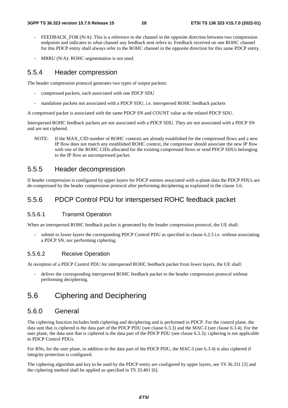- FEEDBACK\_FOR (N/A): This is a reference to the channel in the opposite direction between two compression endpoints and indicates to what channel any feedback sent refers to. Feedback received on one ROHC channel for this PDCP entity shall always refer to the ROHC channel in the opposite direction for this same PDCP entity.
- $MRRU (N/A)$ : ROHC segmentation is not used.

### 5.5.4 Header compression

The header compression protocol generates two types of output packets:

- compressed packets, each associated with one PDCP SDU
- standalone packets not associated with a PDCP SDU, i.e. interspersed ROHC feedback packets

A compressed packet is associated with the same PDCP SN and COUNT value as the related PDCP SDU.

Interspersed ROHC feedback packets are not associated with a PDCP SDU. They are not associated with a PDCP SN and are not ciphered.

NOTE: If the MAX CID number of ROHC contexts are already established for the compressed flows and a new IP flow does not match any established ROHC context, the compressor should associate the new IP flow with one of the ROHC CIDs allocated for the existing compressed flows or send PDCP SDUs belonging to the IP flow as uncompressed packet.

### 5.5.5 Header decompression

If header compression is configured by upper layers for PDCP entities associated with u-plane data the PDCP PDUs are de-compressed by the header compression protocol after performing deciphering as explained in the clause 5.6.

### 5.5.6 PDCP Control PDU for interspersed ROHC feedback packet

#### 5.5.6.1 Transmit Operation

When an interspersed ROHC feedback packet is generated by the header compression protocol, the UE shall:

submit to lower layers the corresponding PDCP Control PDU as specified in clause 6.2.5 i.e. without associating a PDCP SN, nor performing ciphering.

#### 5.5.6.2 Receive Operation

At reception of a PDCP Control PDU for interspersed ROHC feedback packet from lower layers, the UE shall:

deliver the corresponding interspersed ROHC feedback packet to the header compression protocol without performing deciphering.

### 5.6 Ciphering and Deciphering

#### 5.6.0 General

The ciphering function includes both ciphering and deciphering and is performed in PDCP. For the control plane, the data unit that is ciphered is the data part of the PDCP PDU (see clause 6.3.3) and the MAC-I (see clause 6.3.4). For the user plane, the data unit that is ciphered is the data part of the PDCP PDU (see clause 6.3.3); ciphering is not applicable to PDCP Control PDUs.

For RNs, for the user plane, in addition to the data part of the PDCP PDU, the MAC-I (see 6.3.4) is also ciphered if integrity protection is configured.

The ciphering algorithm and key to be used by the PDCP entity are configured by upper layers, see TS 36.331 [3] and the ciphering method shall be applied as specified in TS 33.401 [6].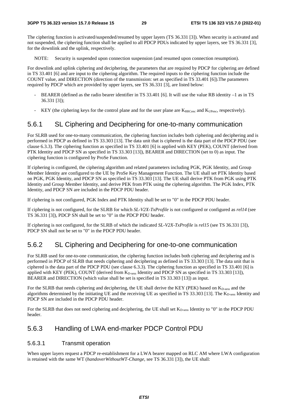The ciphering function is activated/suspended/resumed by upper layers (TS 36.331 [3]). When security is activated and not suspended, the ciphering function shall be applied to all PDCP PDUs indicated by upper layers, see TS 36.331 [3], for the downlink and the uplink, respectively.

NOTE: Security is suspended upon connection suspension (and resumed upon connection resumption).

For downlink and uplink ciphering and deciphering, the parameters that are required by PDCP for ciphering are defined in TS 33.401 [6] and are input to the ciphering algorithm. The required inputs to the ciphering function include the COUNT value, and DIRECTION (direction of the transmission: set as specified in TS 33.401 [6]).The parameters required by PDCP which are provided by upper layers, see TS 36.331 [3], are listed below:

- BEARER (defined as the radio bearer identifier in TS 33.401 [6]. It will use the value RB identity –1 as in TS 36.331 [3]);
- KEY (the ciphering keys for the control plane and for the user plane are  $K_{RRCenc}$  and  $K_{UPenc}$ , respectively).

### 5.6.1 SL Ciphering and Deciphering for one-to-many communication

For SLRB used for one-to-many communication, the ciphering function includes both ciphering and deciphering and is performed in PDCP as defined in TS 33.303 [13]. The data unit that is ciphered is the data part of the PDCP PDU (see clause 6.3.3). The ciphering function as specified in TS 33.401 [6] is applied with KEY (PEK), COUNT (derived from PTK Identity and PDCP SN as specified in TS 33.303 [13]), BEARER and DIRECTION (set to 0) as input. The ciphering function is configured by ProSe Function.

If ciphering is configured, the ciphering algorithm and related parameters including PGK, PGK Identity, and Group Member Identity are configured to the UE by ProSe Key Management Function. The UE shall set PTK Identity based on PGK, PGK Identity, and PDCP SN as specified in TS 33.303 [13]. The UE shall derive PTK from PGK using PTK Identity and Group Member Identity, and derive PEK from PTK using the ciphering algorithm. The PGK Index, PTK Identity, and PDCP SN are included in the PDCP PDU header.

If ciphering is not configured, PGK Index and PTK Identity shall be set to "0" in the PDCP PDU header.

If ciphering is not configured, for the SLRB for which *SL-V2X-TxProfile* is not configured or configured as *rel14* (see TS 36.331 [3]), PDCP SN shall be set to "0" in the PDCP PDU header.

If ciphering is not configured, for the SLRB of which the indicated *SL-V2X-TxProfile* is *rel15* (see TS 36.331 [3]), PDCP SN shall not be set to "0" in the PDCP PDU header.

### 5.6.2 SL Ciphering and Deciphering for one-to-one communication

For SLRB used for one-to-one communication, the ciphering function includes both ciphering and deciphering and is performed in PDCP of SLRB that needs ciphering and deciphering as defined in TS 33.303 [13]. The data unit that is ciphered is the data part of the PDCP PDU (see clause 6.3.3). The ciphering function as specified in TS 33.401 [6] is applied with KEY (PEK), COUNT (derived from K<sub>D-sess</sub> Identity and PDCP SN as specified in TS 33.303 [13]), BEARER and DIRECTION (which value shall be set is specified in TS 33.303 [13]) as input.

For the SLRB that needs ciphering and deciphering, the UE shall derive the KEY (PEK) based on K<sub>D-sess</sub> and the algorithms determined by the initiating UE and the receiving UE as specified in TS 33.303 [13]. The  $K_{D\text{-}\mathrm{sess}}$  Identity and PDCP SN are included in the PDCP PDU header.

For the SLRB that does not need ciphering and deciphering, the UE shall set K<sub>D-sess</sub> Identity to "0" in the PDCP PDU header.

### 5.6.3 Handling of LWA end-marker PDCP Control PDU

#### 5.6.3.1 Transmit operation

When upper layers request a PDCP re-establishment for a LWA bearer mapped on RLC AM where LWA configuration is retained with the same WT (*handoverWithoutWT-Change*, see TS 36.331 [3]), the UE shall: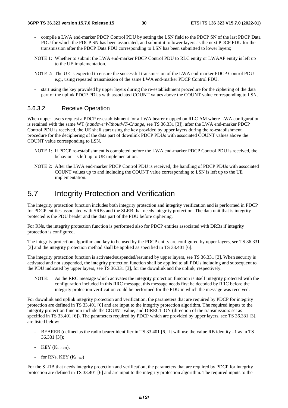- compile a LWA end-marker PDCP Control PDU by setting the LSN field to the PDCP SN of the last PDCP Data PDU for which the PDCP SN has been associated, and submit it to lower layers as the next PDCP PDU for the transmission after the PDCP Data PDU corresponding to LSN has been submitted to lower layers;
- NOTE 1: Whether to submit the LWA end-marker PDCP Control PDU to RLC entity or LWAAP entity is left up to the UE implementation.
- NOTE 2: The UE is expected to ensure the successful transmission of the LWA end-marker PDCP Control PDU e.g., using repeated transmission of the same LWA end-marker PDCP Control PDU.
- start using the key provided by upper layers during the re-establishment procedure for the ciphering of the data part of the uplink PDCP PDUs with associated COUNT values above the COUNT value corresponding to LSN.

#### 5.6.3.2 Receive Operation

When upper layers request a PDCP re-establishment for a LWA bearer mapped on RLC AM where LWA configuration is retained with the same WT (*handoverWithoutWT-Change*, see TS 36.331 [3]), after the LWA end-marker PDCP Control PDU is received, the UE shall start using the key provided by upper layers during the re-establishment procedure for the deciphering of the data part of downlink PDCP PDUs with associated COUNT values above the COUNT value corresponding to LSN.

- NOTE 1: If PDCP re-establishment is completed before the LWA end-marker PDCP Control PDU is received, the behaviour is left up to UE implementation.
- NOTE 2: After the LWA end-marker PDCP Control PDU is received, the handling of PDCP PDUs with associated COUNT values up to and including the COUNT value corresponding to LSN is left up to the UE implementation.

### 5.7 Integrity Protection and Verification

The integrity protection function includes both integrity protection and integrity verification and is performed in PDCP for PDCP entities associated with SRBs and the SLRB that needs integrity protection. The data unit that is integrity protected is the PDU header and the data part of the PDU before ciphering.

For RNs, the integrity protection function is performed also for PDCP entities associated with DRBs if integrity protection is configured.

The integrity protection algorithm and key to be used by the PDCP entity are configured by upper layers, see TS 36.331 [3] and the integrity protection method shall be applied as specified in TS 33.401 [6].

The integrity protection function is activated/suspended/resumed by upper layers, see TS 36.331 [3]. When security is activated and not suspended, the integrity protection function shall be applied to all PDUs including and subsequent to the PDU indicated by upper layers, see TS 36.331 [3], for the downlink and the uplink, respectively.

NOTE: As the RRC message which activates the integrity protection function is itself integrity protected with the configuration included in this RRC message, this message needs first be decoded by RRC before the integrity protection verification could be performed for the PDU in which the message was received.

For downlink and uplink integrity protection and verification, the parameters that are required by PDCP for integrity protection are defined in TS 33.401 [6] and are input to the integrity protection algorithm. The required inputs to the integrity protection function include the COUNT value, and DIRECTION (direction of the transmission: set as specified in TS 33.401 [6]). The parameters required by PDCP which are provided by upper layers, see TS 36.331 [3], are listed below:

- BEARER (defined as the radio bearer identifier in TS 33.401 [6]. It will use the value RB identity –1 as in TS 36.331 [3]);
- KEY (KRRCint).
- for RNs,  $KEY (K<sub>UPint</sub>)$

For the SLRB that needs integrity protection and verification, the parameters that are required by PDCP for integrity protection are defined in TS 33.401 [6] and are input to the integrity protection algorithm. The required inputs to the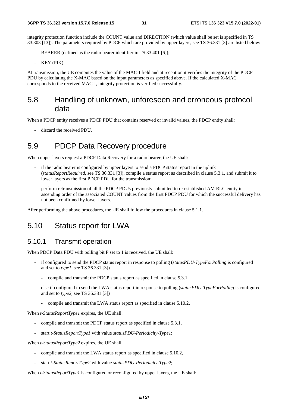integrity protection function include the COUNT value and DIRECTION (which value shall be set is specified in TS 33.303 [13]). The parameters required by PDCP which are provided by upper layers, see TS 36.331 [3] are listed below:

- BEARER (defined as the radio bearer identifier in TS 33.401 [6]);
- KEY (PIK).

At transmission, the UE computes the value of the MAC-I field and at reception it verifies the integrity of the PDCP PDU by calculating the X-MAC based on the input parameters as specified above. If the calculated X-MAC corresponds to the received MAC-I, integrity protection is verified successfully.

### 5.8 Handling of unknown, unforeseen and erroneous protocol data

When a PDCP entity receives a PDCP PDU that contains reserved or invalid values, the PDCP entity shall:

discard the received PDU.

### 5.9 PDCP Data Recovery procedure

When upper layers request a PDCP Data Recovery for a radio bearer, the UE shall:

- if the radio bearer is configured by upper layers to send a PDCP status report in the uplink (*statusReportRequired*, see TS 36.331 [3]), compile a status report as described in clause 5.3.1, and submit it to lower layers as the first PDCP PDU for the transmission;
- perform retransmission of all the PDCP PDUs previously submitted to re-established AM RLC entity in ascending order of the associated COUNT values from the first PDCP PDU for which the successful delivery has not been confirmed by lower layers.

After performing the above procedures, the UE shall follow the procedures in clause 5.1.1.

### 5.10 Status report for LWA

### 5.10.1 Transmit operation

When PDCP Data PDU with polling bit P set to 1 is received, the UE shall:

- if configured to send the PDCP status report in response to polling (*statusPDU-TypeForPolling* is configured and set to *type1*, see TS 36.331 [3])
	- compile and transmit the PDCP status report as specified in clause 5.3.1;
- else if configured to send the LWA status report in response to polling (*statusPDU-TypeForPolling* is configured and set to *type2*, see TS 36.331 [3])
	- compile and transmit the LWA status report as specified in clause 5.10.2.

When *t-StatusReportType1* expires, the UE shall:

- compile and transmit the PDCP status report as specified in clause 5.3.1,
- start *t-StatusReportType1* with value *statusPDU-Periodicity-Type1*;

When *t-StatusReportType2* expires, the UE shall:

- compile and transmit the LWA status report as specified in clause 5.10.2,
- start *t-StatusReportType2* with value *statusPDU-Periodicity-Type2*;

When *t*-StatusReportType1 is configured or reconfigured by upper layers, the UE shall: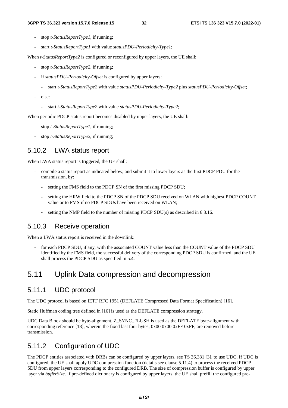- stop *t-StatusReportType1,* if running;
- start *t-StatusReportType1* with value *statusPDU-Periodicity-Type1*;

When *t-StatusReportType2* is configured or reconfigured by upper layers, the UE shall:

- stop *t-StatusReportType2,* if running;
- if *statusPDU-Periodicity-Offset* is configured by upper layers:
	- start *t-StatusReportType2* with value *statusPDU-Periodicity-Type2* plus *statusPDU-Periodicity-Offset*;
- else:
	- start *t-StatusReportType2* with value *statusPDU-Periodicity-Type2*;

When periodic PDCP status report becomes disabled by upper layers, the UE shall:

- stop *t-StatusReportType1*, if running;
- stop *t-StatusReportType2*, if running;

#### 5.10.2 LWA status report

When LWA status report is triggered, the UE shall:

- compile a status report as indicated below, and submit it to lower layers as the first PDCP PDU for the transmission, by:
	- setting the FMS field to the PDCP SN of the first missing PDCP SDU;
	- setting the HRW field to the PDCP SN of the PDCP SDU received on WLAN with highest PDCP COUNT value or to FMS if no PDCP SDUs have been received on WLAN;
	- setting the NMP field to the number of missing PDCP SDU(s) as described in 6.3.16.

### 5.10.3 Receive operation

When a LWA status report is received in the downlink:

for each PDCP SDU, if any, with the associated COUNT value less than the COUNT value of the PDCP SDU identified by the FMS field, the successful delivery of the corresponding PDCP SDU is confirmed, and the UE shall process the PDCP SDU as specified in 5.4.

### 5.11 Uplink Data compression and decompression

### 5.11.1 UDC protocol

The UDC protocol is based on IETF RFC 1951 (DEFLATE Compressed Data Format Specification) [16].

Static Huffman coding tree defined in [16] is used as the DEFLATE compression strategy.

UDC Data Block should be byte-alignment. Z\_SYNC\_FLUSH is used as the DEFLATE byte-alignment with corresponding reference [18], wherein the fixed last four bytes,  $0x00\ 0x00\ 0xFF$  oxFF, are removed before transmission.

### 5.11.2 Configuration of UDC

The PDCP entities associated with DRBs can be configured by upper layers, see TS 36.331 [3], to use UDC. If UDC is configured, the UE shall apply UDC compression function (details see clause 5.11.4) to process the received PDCP SDU from upper layers corresponding to the configured DRB. The size of compression buffer is configured by upper layer via *bufferSize*. If pre-defined dictionary is configured by upper layers, the UE shall prefill the configured pre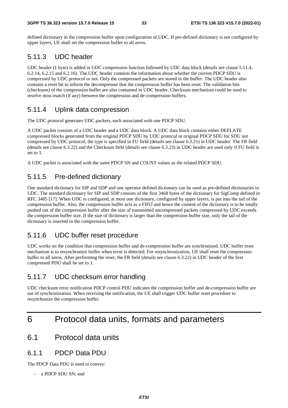defined dictionary in the compression buffer upon configuration of UDC. If pre-defined dictionary is not configured by upper layers, UE shall set the compression buffer to all zeros.

### 5.11.3 UDC header

UDC header (1 byte) is added in UDC compression function followed by UDC data block (details see clause 5.11.4, 6.2.14, 6.2.15 and 6.2.16). The UDC header contains the information about whether the current PDCP SDU is compressed by UDC protocol or not. Only the compressed packets are stored in the buffer. The UDC header also contains a reset bit to inform the decompressor that the compression buffer has been reset. The validation bits (checksum) of the compression buffer are also contained in UDC header. Checksum mechanism could be used to resolve miss-match (if any) between the compression and de-compression buffers.

### 5.11.4 Uplink data compression

The UDC protocol generates UDC packets, each associated with one PDCP SDU.

A UDC packet consists of a UDC header and a UDC data block. A UDC data block contains either DEFLATE compressed blocks generated from the original PDCP SDU by UDC protocol or original PDCP SDU for SDU not compressed by UDC protocol; the type is specified in FU field (details see clause 6.3.21) in UDC header. The FR field (details see clause 6.3.22) and the Checksum field (details see clause 6.3.23) in UDC header are used only if FU field is set to 1.

A UDC packet is associated with the same PDCP SN and COUNT values as the related PDCP SDU.

### 5.11.5 Pre-defined dictionary

One standard dictionary for SIP and SDP and one operator defined dictionary can be used as pre-defined dictionaries in UDC. The standard dictionary for SIP and SDP consists of the first 3468 bytes of the dictionary for SigComp defined in RFC 3485 [17]. When UDC is configured, at most one dictionary, configured by upper layers, is put into the tail of the compression buffer. Also, the compression buffer acts as a FIFO and hence the content of the dictionary is to be totally pushed out of the compression buffer after the size of transmitted uncompressed packets compressed by UDC exceeds the compression buffer size. If the size of dictionary is larger than the compression buffer size, only the tail of the dictionary is inserted in the compression buffer.

### 5.11.6 UDC buffer reset procedure

UDC works on the condition that compression buffer and de-compression buffer are synchronized. UDC buffer reset mechanism is to resynchronize buffer when error is detected. For resynchronization, UE shall reset the compression buffer to all zeros. After performing the reset, the FR field (details see clause 6.3.22) in UDC header of the first compressed PDU shall be set to 1.

### 5.11.7 UDC checksum error handling

UDC checksum error notification PDCP control PDU indicates the compression buffer and de-compression buffer are out of synchronization. When receiving the notification, the UE shall trigger UDC buffer reset procedure to resynchonize the compression buffer.

## 6 Protocol data units, formats and parameters

6.1 Protocol data units

### 6.1.1 PDCP Data PDU

The PDCP Data PDU is used to convey:

a PDCP SDU SN; and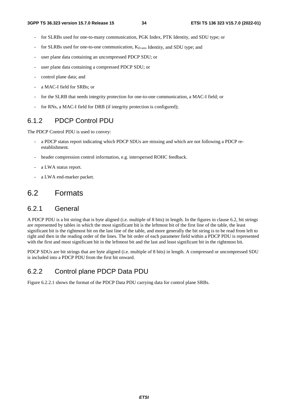- for SLRBs used for one-to-many communication, PGK Index, PTK Identity, and SDU type; or
- for SLRBs used for one-to-one communication,  $K_{D-<sub>sess</sub>}$  Identity, and SDU type; and
- user plane data containing an uncompressed PDCP SDU; or
- user plane data containing a compressed PDCP SDU; or
- control plane data; and
- a MAC-I field for SRBs; or
- for the SLRB that needs integrity protection for one-to-one communication, a MAC-I field; or
- for RNs, a MAC-I field for DRB (if integrity protection is configured);

### 6.1.2 PDCP Control PDU

The PDCP Control PDU is used to convey:

- a PDCP status report indicating which PDCP SDUs are missing and which are not following a PDCP reestablishment.
- header compression control information, e.g. interspersed ROHC feedback.
- a LWA status report.
- a LWA end-marker packet.

### 6.2 Formats

#### 6.2.1 General

A PDCP PDU is a bit string that is byte aligned (i.e. multiple of 8 bits) in length. In the figures in clause 6.2, bit strings are represented by tables in which the most significant bit is the leftmost bit of the first line of the table, the least significant bit is the rightmost bit on the last line of the table, and more generally the bit string is to be read from left to right and then in the reading order of the lines. The bit order of each parameter field within a PDCP PDU is represented with the first and most significant bit in the leftmost bit and the last and least significant bit in the rightmost bit.

PDCP SDUs are bit strings that are byte aligned (i.e. multiple of 8 bits) in length. A compressed or uncompressed SDU is included into a PDCP PDU from the first bit onward.

### 6.2.2 Control plane PDCP Data PDU

Figure 6.2.2.1 shows the format of the PDCP Data PDU carrying data for control plane SRBs.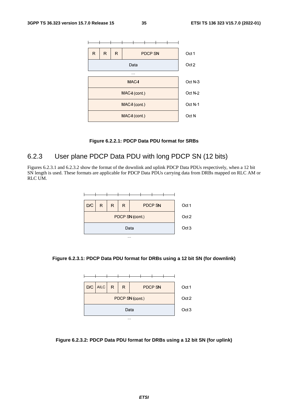

#### **Figure 6.2.2.1: PDCP Data PDU format for SRBs**

### 6.2.3 User plane PDCP Data PDU with long PDCP SN (12 bits)

Figures 6.2.3.1 and 6.2.3.2 show the format of the downlink and uplink PDCP Data PDUs respectively, when a 12 bit SN length is used. These formats are applicable for PDCP Data PDUs carrying data from DRBs mapped on RLC AM or RLC UM.



#### **Figure 6.2.3.1: PDCP Data PDU format for DRBs using a 12 bit SN (for downlink)**



#### **Figure 6.2.3.2: PDCP Data PDU format for DRBs using a 12 bit SN (for uplink)**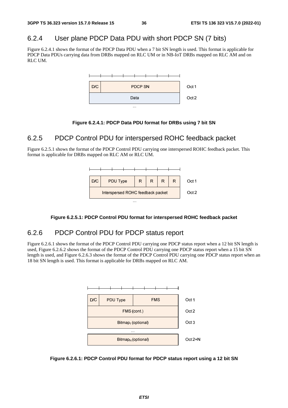### 6.2.4 User plane PDCP Data PDU with short PDCP SN (7 bits)

Figure 6.2.4.1 shows the format of the PDCP Data PDU when a 7 bit SN length is used. This format is applicable for PDCP Data PDUs carrying data from DRBs mapped on RLC UM or in NB-IoT DRBs mapped on RLC AM and on RLC UM.



#### **Figure 6.2.4.1: PDCP Data PDU format for DRBs using 7 bit SN**

### 6.2.5 PDCP Control PDU for interspersed ROHC feedback packet

Figure 6.2.5.1 shows the format of the PDCP Control PDU carrying one interspersed ROHC feedback packet. This format is applicable for DRBs mapped on RLC AM or RLC UM.



#### **Figure 6.2.5.1: PDCP Control PDU format for interspersed ROHC feedback packet**

### 6.2.6 PDCP Control PDU for PDCP status report

Figure 6.2.6.1 shows the format of the PDCP Control PDU carrying one PDCP status report when a 12 bit SN length is used, Figure 6.2.6.2 shows the format of the PDCP Control PDU carrying one PDCP status report when a 15 bit SN length is used, and Figure 6.2.6.3 shows the format of the PDCP Control PDU carrying one PDCP status report when an 18 bit SN length is used. This format is applicable for DRBs mapped on RLC AM.



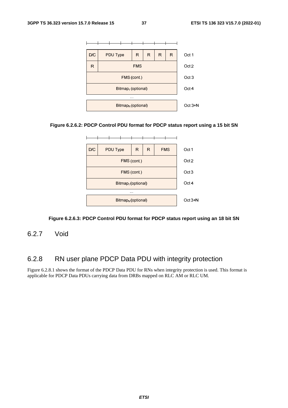

#### **Figure 6.2.6.2: PDCP Control PDU format for PDCP status report using a 15 bit SN**



#### **Figure 6.2.6.3: PDCP Control PDU format for PDCP status report using an 18 bit SN**

6.2.7 Void

### 6.2.8 RN user plane PDCP Data PDU with integrity protection

Figure 6.2.8.1 shows the format of the PDCP Data PDU for RNs when integrity protection is used. This format is applicable for PDCP Data PDUs carrying data from DRBs mapped on RLC AM or RLC UM.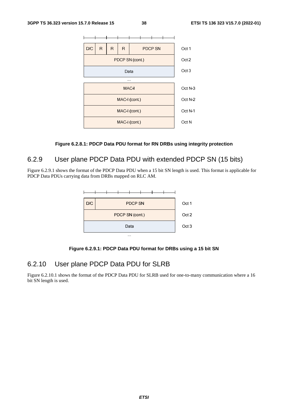

#### **Figure 6.2.8.1: PDCP Data PDU format for RN DRBs using integrity protection**

### 6.2.9 User plane PDCP Data PDU with extended PDCP SN (15 bits)

Figure 6.2.9.1 shows the format of the PDCP Data PDU when a 15 bit SN length is used. This format is applicable for PDCP Data PDUs carrying data from DRBs mapped on RLC AM.



**Figure 6.2.9.1: PDCP Data PDU format for DRBs using a 15 bit SN** 

### 6.2.10 User plane PDCP Data PDU for SLRB

Figure 6.2.10.1 shows the format of the PDCP Data PDU for SLRB used for one-to-many communication where a 16 bit SN length is used.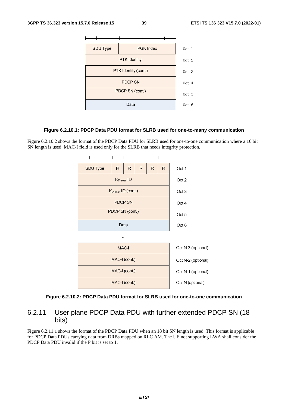

#### **Figure 6.2.10.1: PDCP Data PDU format for SLRB used for one-to-many communication**

Figure 6.2.10.2 shows the format of the PDCP Data PDU for SLRB used for one-to-one communication where a 16 bit SN length is used. MAC-I field is used only for the SLRB that needs integrity protection.



#### **Figure 6.2.10.2: PDCP Data PDU format for SLRB used for one-to-one communication**

### 6.2.11 User plane PDCP Data PDU with further extended PDCP SN (18 bits)

Figure 6.2.11.1 shows the format of the PDCP Data PDU when an 18 bit SN length is used. This format is applicable for PDCP Data PDUs carrying data from DRBs mapped on RLC AM. The UE not supporting LWA shall consider the PDCP Data PDU invalid if the P bit is set to 1.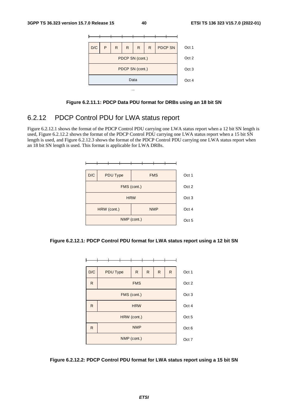

#### **Figure 6.2.11.1: PDCP Data PDU format for DRBs using an 18 bit SN**

### 6.2.12 PDCP Control PDU for LWA status report

Figure 6.2.12.1 shows the format of the PDCP Control PDU carrying one LWA status report when a 12 bit SN length is used, Figure 6.2.12.2 shows the format of the PDCP Control PDU carrying one LWA status report when a 15 bit SN length is used, and Figure 6.2.12.3 shows the format of the PDCP Control PDU carrying one LWA status report when an 18 bit SN length is used. This format is applicable for LWA DRBs.







**Figure 6.2.12.2: PDCP Control PDU format for LWA status report using a 15 bit SN**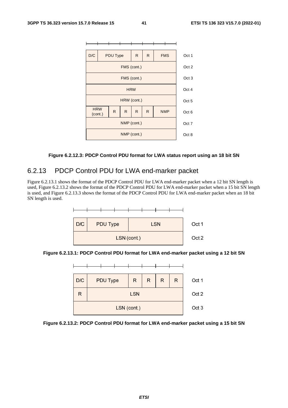

#### **Figure 6.2.12.3: PDCP Control PDU format for LWA status report using an 18 bit SN**

### 6.2.13 PDCP Control PDU for LWA end-marker packet

Figure 6.2.13.1 shows the format of the PDCP Control PDU for LWA end-marker packet when a 12 bit SN length is used, Figure 6.2.13.2 shows the format of the PDCP Control PDU for LWA end-marker packet when a 15 bit SN length is used, and Figure 6.2.13.3 shows the format of the PDCP Control PDU for LWA end-marker packet when an 18 bit SN length is used.



**Figure 6.2.13.1: PDCP Control PDU format for LWA end-marker packet using a 12 bit SN** 



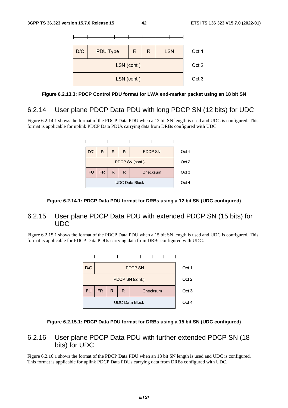



### 6.2.14 User plane PDCP Data PDU with long PDCP SN (12 bits) for UDC

Figure 6.2.14.1 shows the format of the PDCP Data PDU when a 12 bit SN length is used and UDC is configured. This format is applicable for uplink PDCP Data PDUs carrying data from DRBs configured with UDC.



#### **Figure 6.2.14.1: PDCP Data PDU format for DRBs using a 12 bit SN (UDC configured)**

### 6.2.15 User plane PDCP Data PDU with extended PDCP SN (15 bits) for UDC

Figure 6.2.15.1 shows the format of the PDCP Data PDU when a 15 bit SN length is used and UDC is configured. This format is applicable for PDCP Data PDUs carrying data from DRBs configured with UDC.



#### **Figure 6.2.15.1: PDCP Data PDU format for DRBs using a 15 bit SN (UDC configured)**

### 6.2.16 User plane PDCP Data PDU with further extended PDCP SN (18 bits) for UDC

Figure 6.2.16.1 shows the format of the PDCP Data PDU when an 18 bit SN length is used and UDC is configured. This format is applicable for uplink PDCP Data PDUs carrying data from DRBs configured with UDC.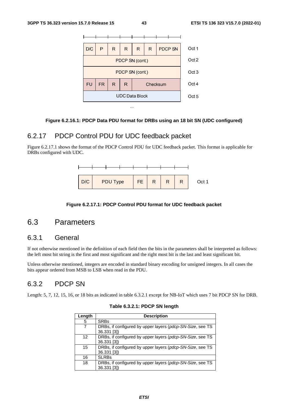

#### **Figure 6.2.16.1: PDCP Data PDU format for DRBs using an 18 bit SN (UDC configured)**

### 6.2.17 PDCP Control PDU for UDC feedback packet

Figure 6.2.17.1 shows the format of the PDCP Control PDU for UDC feedback packet. This format is applicable for DRBs configured with UDC.



#### **Figure 6.2.17.1: PDCP Control PDU format for UDC feedback packet**

### 6.3 Parameters

### 6.3.1 General

If not otherwise mentioned in the definition of each field then the bits in the parameters shall be interpreted as follows: the left most bit string is the first and most significant and the right most bit is the last and least significant bit.

Unless otherwise mentioned, integers are encoded in standard binary encoding for unsigned integers. In all cases the bits appear ordered from MSB to LSB when read in the PDU.

### 6.3.2 PDCP SN

Length: 5, 7, 12, 15, 16, or 18 bits as indicated in table 6.3.2.1 except for NB-IoT which uses 7 bit PDCP SN for DRB.

| Length | <b>Description</b>                                        |
|--------|-----------------------------------------------------------|
| 5      | <b>SRBs</b>                                               |
|        | DRBs, if configured by upper layers (pdcp-SN-Size, see TS |
|        | 36.331 [3])                                               |
| 12     | DRBs, if configured by upper layers (pdcp-SN-Size, see TS |
|        | 36.331 [3])                                               |
| 15     | DRBs, if configured by upper layers (pdcp-SN-Size, see TS |
|        | 36.331 [3])                                               |
| 16     | <b>SLRBs</b>                                              |
| 18     | DRBs, if configured by upper layers (pdcp-SN-Size, see TS |
|        | 36.331 [3])                                               |

#### **Table 6.3.2.1: PDCP SN length**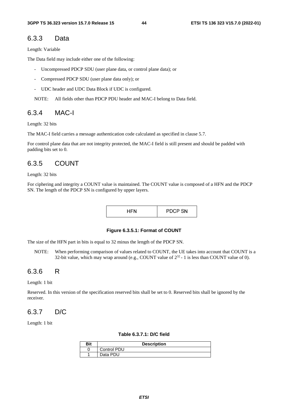#### 6.3.3 Data

Length: Variable

The Data field may include either one of the following:

- Uncompressed PDCP SDU (user plane data, or control plane data); or
- Compressed PDCP SDU (user plane data only); or
- UDC header and UDC Data Block if UDC is configured.

NOTE: All fields other than PDCP PDU header and MAC-I belong to Data field.

### 6.3.4 MAC-I

Length: 32 bits

The MAC-I field carries a message authentication code calculated as specified in clause 5.7.

For control plane data that are not integrity protected, the MAC-I field is still present and should be padded with padding bits set to 0.

### 6.3.5 COUNT

#### Length: 32 bits

For ciphering and integrity a COUNT value is maintained. The COUNT value is composed of a HFN and the PDCP SN. The length of the PDCP SN is configured by upper layers.

|  | <b>PDCP SN</b> |
|--|----------------|
|--|----------------|

#### **Figure 6.3.5.1: Format of COUNT**

The size of the HFN part in bits is equal to 32 minus the length of the PDCP SN.

NOTE: When performing comparison of values related to COUNT, the UE takes into account that COUNT is a 32-bit value, which may wrap around (e.g., COUNT value of  $2^{32}$  - 1 is less than COUNT value of 0).

### 6.3.6 R

#### Length: 1 bit

Reserved. In this version of the specification reserved bits shall be set to 0. Reserved bits shall be ignored by the receiver.

### 6.3.7 D/C

Length: 1 bit

#### **Table 6.3.7.1: D/C field**

| Bit | <b>Description</b> |
|-----|--------------------|
|     | Control PDU        |
|     | Data PDU           |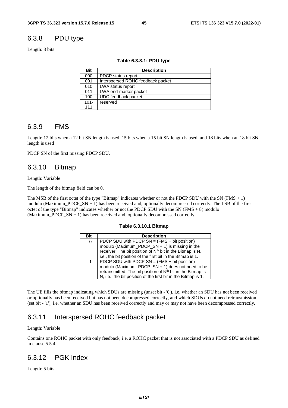### 6.3.8 PDU type

Length: 3 bits

#### **Table 6.3.8.1: PDU type**

| Bit     | <b>Description</b>                |
|---------|-----------------------------------|
| 000     | PDCP status report                |
| 001     | Interspersed ROHC feedback packet |
| 010     | LWA status report                 |
| 011     | LWA end-marker packet             |
| 100     | UDC feedback packet               |
| $101 -$ | reserved                          |
| 111     |                                   |

### 6.3.9 FMS

Length: 12 bits when a 12 bit SN length is used, 15 bits when a 15 bit SN length is used, and 18 bits when an 18 bit SN length is used

PDCP SN of the first missing PDCP SDU.

### 6.3.10 Bitmap

Length: Variable

The length of the bitmap field can be 0.

The MSB of the first octet of the type "Bitmap" indicates whether or not the PDCP SDU with the SN ( $FMS + 1$ ) modulo (Maximum\_PDCP\_SN + 1) has been received and, optionally decompressed correctly. The LSB of the first octet of the type "Bitmap" indicates whether or not the PDCP SDU with the SN ( $FMS + 8$ ) modulo (Maximum\_PDCP\_SN + 1) has been received and, optionally decompressed correctly.

#### **Table 6.3.10.1 Bitmap**

| <b>Bit</b> | <b>Description</b>                                                      |  |  |  |  |
|------------|-------------------------------------------------------------------------|--|--|--|--|
| 0          | PDCP SDU with PDCP SN = $(FMS + bit position)$                          |  |  |  |  |
|            | modulo (Maximum_PDCP_SN + 1) is missing in the                          |  |  |  |  |
|            | receiver. The bit position of N <sup>th</sup> bit in the Bitmap is N,   |  |  |  |  |
|            | i.e., the bit position of the first bit in the Bitmap is 1.             |  |  |  |  |
|            | PDCP SDU with PDCP SN = (FMS + bit position)                            |  |  |  |  |
|            | modulo (Maximum_PDCP_SN + 1) does not need to be                        |  |  |  |  |
|            | retransmitted. The bit position of N <sup>th</sup> bit in the Bitmap is |  |  |  |  |
|            | N, i.e., the bit position of the first bit in the Bitmap is 1.          |  |  |  |  |

The UE fills the bitmap indicating which SDUs are missing (unset bit - '0'), i.e. whether an SDU has not been received or optionally has been received but has not been decompressed correctly, and which SDUs do not need retransmission (set bit - '1'), i.e. whether an SDU has been received correctly and may or may not have been decompressed correctly.

### 6.3.11 Interspersed ROHC feedback packet

#### Length: Variable

Contains one ROHC packet with only feedback, i.e. a ROHC packet that is not associated with a PDCP SDU as defined in clause 5.5.4.

### 6.3.12 PGK Index

Length: 5 bits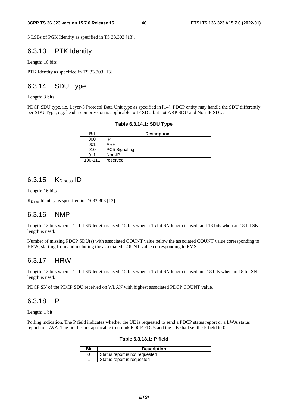5 LSBs of PGK Identity as specified in TS 33.303 [13].

### 6.3.13 PTK Identity

Length: 16 bits

PTK Identity as specified in TS 33.303 [13].

### 6.3.14 SDU Type

Length: 3 bits

PDCP SDU type, i.e. Layer-3 Protocol Data Unit type as specified in [14]. PDCP entity may handle the SDU differently per SDU Type, e.g. header compression is applicable to IP SDU but not ARP SDU and Non-IP SDU.

| Table 6.3.14.1: SDU Type |  |  |  |  |
|--------------------------|--|--|--|--|
|--------------------------|--|--|--|--|

| Bit     | <b>Description</b> |  |  |  |  |  |  |  |
|---------|--------------------|--|--|--|--|--|--|--|
| 000     | IP                 |  |  |  |  |  |  |  |
| 001     | ARP                |  |  |  |  |  |  |  |
| 010     | PC5 Signaling      |  |  |  |  |  |  |  |
| 011     | Non-IP             |  |  |  |  |  |  |  |
| 100-111 | reserved           |  |  |  |  |  |  |  |

### $6.3.15$  K<sub>D-sess</sub> ID

Length: 16 bits

K<sub>D-sess</sub> Identity as specified in TS 33.303 [13].

### 6.3.16 NMP

Length: 12 bits when a 12 bit SN length is used, 15 bits when a 15 bit SN length is used, and 18 bits when an 18 bit SN length is used.

Number of missing PDCP SDU(s) with associated COUNT value below the associated COUNT value corresponding to HRW, starting from and including the associated COUNT value corresponding to FMS.

### 6.3.17 HRW

Length: 12 bits when a 12 bit SN length is used, 15 bits when a 15 bit SN length is used and 18 bits when an 18 bit SN length is used.

PDCP SN of the PDCP SDU received on WLAN with highest associated PDCP COUNT value.

#### 6.3.18 P

Length: 1 bit

Polling indication. The P field indicates whether the UE is requested to send a PDCP status report or a LWA status report for LWA. The field is not applicable to uplink PDCP PDUs and the UE shall set the P field to 0.

#### **Table 6.3.18.1: P field**

| Bit | <b>Description</b>             |
|-----|--------------------------------|
|     | Status report is not requested |
|     | Status report is requested     |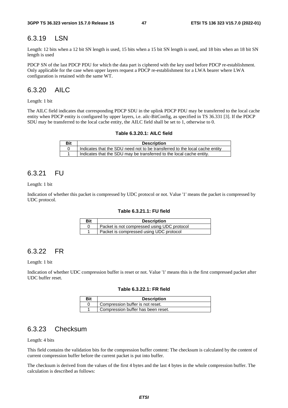### 6.3.19 LSN

Length: 12 bits when a 12 bit SN length is used, 15 bits when a 15 bit SN length is used, and 18 bits when an 18 bit SN length is used

PDCP SN of the last PDCP PDU for which the data part is ciphered with the key used before PDCP re-establishment. Only applicable for the case when upper layers request a PDCP re-establishment for a LWA bearer where LWA configuration is retained with the same WT.

### 6.3.20 AILC

Length: 1 bit

The AILC field indicates that corresponding PDCP SDU in the uplink PDCP PDU may be transferred to the local cache entity when PDCP entity is configured by upper layers, i.e. ailc-BitConfig, as specified in TS 36.331 [3]. If the PDCP SDU may be transferred to the local cache entity, the AILC field shall be set to 1, otherwise to 0.

| Table 6.3.20.1: AILC field |
|----------------------------|
|----------------------------|

| Bit | <b>Description</b>                                                          |
|-----|-----------------------------------------------------------------------------|
|     | Indicates that the SDU need not to be transferred to the local cache entity |
|     | Indicates that the SDU may be transferred to the local cache entity.        |

### 6.3.21 FU

Length: 1 bit

Indication of whether this packet is compressed by UDC protocol or not. Value '1' means the packet is compressed by UDC protocol.

#### **Table 6.3.21.1: FU field**

| <b>Bit</b> | <b>Description</b>                          |
|------------|---------------------------------------------|
|            | Packet is not compressed using UDC protocol |
|            | Packet is compressed using UDC protocol     |

### 6.3.22 FR

Length: 1 bit

Indication of whether UDC compression buffer is reset or not. Value '1' means this is the first compressed packet after UDC buffer reset.

#### **Table 6.3.22.1: FR field**

| Bit | <b>Description</b>                 |  |  |  |  |  |  |  |
|-----|------------------------------------|--|--|--|--|--|--|--|
|     | Compression buffer is not reset.   |  |  |  |  |  |  |  |
|     | Compression buffer has been reset. |  |  |  |  |  |  |  |

### 6.3.23 Checksum

Length: 4 bits

This field contains the validation bits for the compression buffer content: The checksum is calculated by the content of current compression buffer before the current packet is put into buffer.

The checksum is derived from the values of the first 4 bytes and the last 4 bytes in the whole compression buffer. The calculation is described as follows: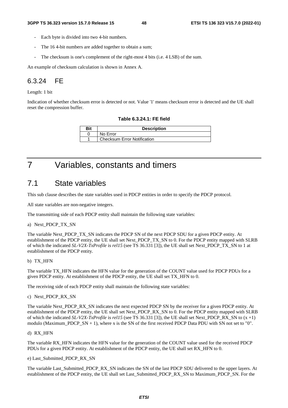- Each byte is divided into two 4-bit numbers.
- The 164-bit numbers are added together to obtain a sum;
- The checksum is one's complement of the right-most 4 bits (i.e. 4 LSB) of the sum.

An example of checksum calculation is shown in Annex A.

### 6.3.24 FE

Length: 1 bit

Indication of whether checksum error is detected or not. Value '1' means checksum error is detected and the UE shall reset the compression buffer.

#### **Table 6.3.24.1: FE field**

| Bit | <b>Description</b>                 |  |  |  |  |  |
|-----|------------------------------------|--|--|--|--|--|
|     | No Error                           |  |  |  |  |  |
|     | <b>Checksum Error Notification</b> |  |  |  |  |  |

## 7 Variables, constants and timers

### 7.1 State variables

This sub clause describes the state variables used in PDCP entities in order to specify the PDCP protocol.

All state variables are non-negative integers.

The transmitting side of each PDCP entity shall maintain the following state variables:

#### a) Next\_PDCP\_TX\_SN

The variable Next\_PDCP\_TX\_SN indicates the PDCP SN of the next PDCP SDU for a given PDCP entity. At establishment of the PDCP entity, the UE shall set Next\_PDCP\_TX\_SN to 0. For the PDCP entity mapped with SLRB of which the indicated *SL-V2X-TxProfile* is *rel15* (see TS 36.331 [3]), the UE shall set Next\_PDCP\_TX\_SN to 1 at establishment of the PDCP entity.

#### b) TX\_HFN

The variable TX\_HFN indicates the HFN value for the generation of the COUNT value used for PDCP PDUs for a given PDCP entity. At establishment of the PDCP entity, the UE shall set TX\_HFN to 0.

The receiving side of each PDCP entity shall maintain the following state variables:

c) Next\_PDCP\_RX\_SN

The variable Next\_PDCP\_RX\_SN indicates the next expected PDCP SN by the receiver for a given PDCP entity. At establishment of the PDCP entity, the UE shall set Next\_PDCP\_RX\_SN to 0. For the PDCP entity mapped with SLRB of which the indicated *SL-V2X-TxProfile* is *rel15* (see TS 36.331 [3]), the UE shall set Next\_PDCP\_RX\_SN to (x +1) modulo (Maximum\_PDCP\_SN + 1), where x is the SN of the first received PDCP Data PDU with SN not set to "0".

#### d) RX\_HFN

The variable RX\_HFN indicates the HFN value for the generation of the COUNT value used for the received PDCP PDUs for a given PDCP entity. At establishment of the PDCP entity, the UE shall set RX\_HFN to 0.

#### e) Last\_Submitted\_PDCP\_RX\_SN

The variable Last Submitted PDCP\_RX\_SN indicates the SN of the last PDCP SDU delivered to the upper layers. At establishment of the PDCP entity, the UE shall set Last\_Submitted\_PDCP\_RX\_SN to Maximum\_PDCP\_SN. For the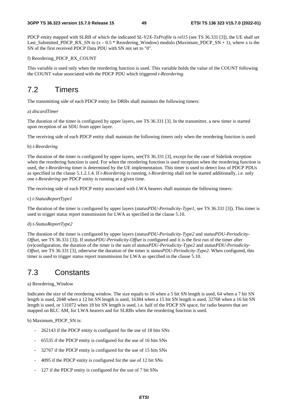PDCP entity mapped with SLRB of which the indicated *SL-V2X-TxProfile* is *rel15* (see TS 36.331 [3]), the UE shall set Last\_Submitted\_PDCP\_RX\_SN to  $(x - 0.5 *$  Reordering\_Window) modulo (Maximum\_PDCP\_SN + 1), where x is the SN of the first received PDCP Data PDU with SN not set to "0".

#### f) Reordering\_PDCP\_RX\_COUNT

This variable is used only when the reordering function is used. This variable holds the value of the COUNT following the COUNT value associated with the PDCP PDU which triggered *t-Reordering*.

### 7.2 Timers

The transmitting side of each PDCP entity for DRBs shall maintain the following timers:

#### a) *discardTimer*

The duration of the timer is configured by upper layers, see TS 36.331 [3]. In the transmitter, a new timer is started upon reception of an SDU from upper layer.

The receiving side of each PDCP entity shall maintain the following timers only when the reordering function is used:

#### b) *t-Reordering*

The duration of the timer is configured by upper layers, see(TS 36.331 [3], except for the case of Sidelink reception when the reordering function is used. For when the reordering function is used reception when the reordering function is used, the *t-Reordering* timer is determined by the UE implementation. This timer is used to detect loss of PDCP PDUs as specified in the clause 5.1.2.1.4. If *t-Reordering* is running, *t-Reordering* shall not be started additionally, i.e. only one *t-Reordering* per PDCP entity is running at a given time.

The receiving side of each PDCP entity associated with LWA bearers shall maintain the following timers:

#### c) *t-StatusReportType1*

The duration of the timer is configured by upper layers (*statusPDU-Periodicity-Type1*, see TS 36.331 [3]). This timer is used to trigger status report transmission for LWA as specified in the clause 5.10.

#### d) *t-StatusReportType2*

The duration of the timer is configured by upper layers (*statusPDU-Periodicity-Type2* and *statusPDU-Periodicity-Offset*, see TS 36.331 [3]). If *statusPDU-Periodicity-Offset* is configured and it is the first run of the timer after (re)configuration, the duration of the timer is the sum of *statusPDU-Periodicity-Type2* and *statusPDU-Periodicity-Offset*, see TS 36.331 [3], otherwise the duration of the timer is *statusPDU-Periodicity-Type2*. When configured, this timer is used to trigger status report transmission for LWA as specified in the clause 5.10.

### 7.3 Constants

#### a) Reordering\_Window

Indicates the size of the reordering window. The size equals to 16 when a 5 bit SN length is used, 64 when a 7 bit SN length is used, 2048 when a 12 bit SN length is used, 16384 when a 15 bit SN length is used, 32768 when a 16 bit SN length is used, or 131072 when 18 bit SN length is used, i.e. half of the PDCP SN space, for radio bearers that are mapped on RLC AM, for LWA bearers and for SLRBs when the reordering function is used.

#### b) Maximum\_PDCP\_SN is:

- 262143 if the PDCP entity is configured for the use of 18 bits SNs
- 65535 if the PDCP entity is configured for the use of 16 bits SNs
- 32767 if the PDCP entity is configured for the use of 15 bits SNs
- 4095 if the PDCP entity is configured for the use of 12 bit SNs
- 127 if the PDCP entity is configured for the use of 7 bit SNs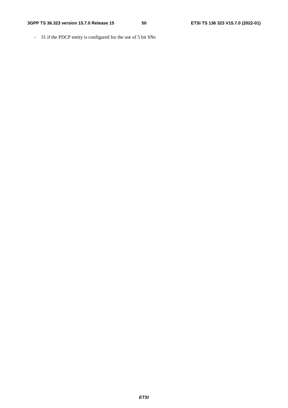- 31 if the PDCP entity is configured for the use of 5 bit SNs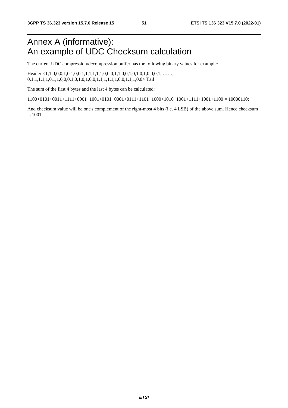## Annex A (informative): An example of UDC Checksum calculation

The current UDC compression/decompression buffer has the following binary values for example:

Header <1,1,0,0,0,1,0,1,0,0,1,1,1,1,1,1,0,0,0,1,1,0,0,1,0,1,0,0,0,1, ……, 0,1,1,1,1,0,1,1,0,0,0,1,0,1,0,1,0,0,1,1,1,1,1,1,0,0,1,1,1,0,0>Tail

The sum of the first 4 bytes and the last 4 bytes can be calculated:

 $1100+0101+0011+1111+0001+1001+0101+0001+0111+1101+1000+1010+1101+11001+1100 = 10000110$ ;

And checksum value will be one's complement of the right-most 4 bits (i.e. 4 LSB) of the above sum. Hence checksum is 1001.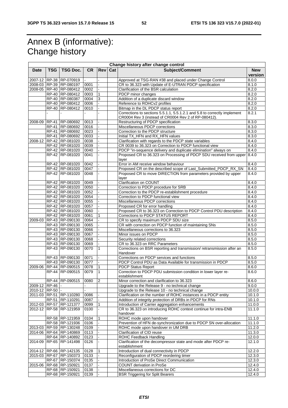## Annex B (informative): Change history

|                 |              |                         |           |                |     | Change history after change control                                       |            |
|-----------------|--------------|-------------------------|-----------|----------------|-----|---------------------------------------------------------------------------|------------|
| <b>Date</b>     | <b>TSG</b>   | <b>TSG Doc.</b>         | <b>CR</b> | <b>Rev</b>     | Cat | Subject/Comment                                                           | <b>New</b> |
|                 |              |                         |           |                |     |                                                                           | version    |
|                 |              | 2007-12 RP-38 RP-070919 |           |                |     | Approved at TSG-RAN #38 and placed under Change Control                   | 8.0.0      |
|                 |              | 2008-03 RP-39 RP-080197 | 0001      | $\blacksquare$ |     | CR to 36.323 with Update of E-UTRAN PDCP specification                    | 8.1.0      |
|                 |              | 2008-05 RP-40 RP-080412 | 0002      |                |     | Clarification of the BSR calculation                                      | 8.2.0      |
|                 |              | RP-40 RP-080412         | 0003      | $\mathbf{1}$   |     | PDCP minor changes                                                        | 8.2.0      |
|                 |              | RP-40 RP-080387         | 0004      | $\mathbf{3}$   |     | Addition of a duplicate discard window                                    | 8.2.0      |
|                 |              | RP-40 RP-080412         | 0006      |                |     | Reference to ROHCv2 profiles                                              | 8.2.0      |
|                 |              | RP-40 RP-080412         | 0010      |                |     | Bitmap in the DL PDCP status report                                       | 8.2.0      |
|                 |              |                         |           |                |     | Corrections to sections 5.5.1.1, 5.5.1.2.1 and 5.8 to correctly implement | 8.2.1      |
|                 |              |                         |           |                |     | CR0004 Rev 3 (instead of CR0004 Rev 2 of RP-080412).                      |            |
|                 |              | 2008-09 RP-41 RP-080692 | 0013      |                |     | Restructuring of PDCP specification                                       | 8.3.0      |
|                 | <b>RP-41</b> | RP-080692               | 0016      |                |     | Miscellaneous PDCP corrections                                            | 8.3.0      |
|                 |              | RP-41 RP-080692         | 0023      |                |     | Correction to the PDCP structure                                          | 8.3.0      |
|                 |              | RP-41 RP-080692         | 0033      |                |     | Initial TX_HFN and RX_HFN values                                          | 8.3.0      |
| 2008-12         |              | RP-42 RP-081020         | 0038      |                |     | Clarification with regards to the PDCP state variables                    | 8.4.0      |
|                 |              | RP-42 RP-081020         | 0039      |                |     | CR 0039 to 36.323 on Correction to PDCP functional view                   | 8.4.0      |
|                 |              | RP-42 RP-081020         | 0040      |                |     | PDCP "in-sequence delivery and duplicate elimination" always on           | 8.4.0      |
|                 |              | RP-42 RP-081020         | 0041      |                |     | Proposed CR to 36.323 on Processing of PDCP SDU received from upper 8.4.0 |            |
|                 |              |                         |           |                |     | layer                                                                     |            |
|                 |              | RP-42 RP-081020         | 0042      |                |     | Error in AM receive window behaviour                                      | 8.4.0      |
|                 |              | RP-42 RP-081020         | 0047      |                |     | Proposed CR on the described scope of Last_Submitted_PDCP_RX_SN           | 8.4.0      |
|                 |              | RP-42 RP-081020         | 0048      |                |     | Proposed CR to move DIRECTION from parameters provided by upper           | 8.4.0      |
|                 |              |                         |           |                |     | layer                                                                     |            |
|                 |              | RP-42 RP-081020         | 0049      |                |     | Clarification on COUNT                                                    | 8.4.0      |
|                 |              | RP-42 RP-081020         | 0050      |                |     | Correction to PDCP procedure for SRB                                      | 8.4.0      |
|                 |              | RP-42 RP-081020         | 0052      |                |     | Correction to the PDCP re-establishment procedure                         | 8.4.0      |
|                 |              | RP-42 RP-081020         | 0054      |                |     | Correction to PDCP functional view                                        | 8.4.0      |
|                 |              | RP-42 RP-081020         | 0055      |                |     | Miscellaneous PDCP corrections                                            | 8.4.0      |
|                 |              | RP-42 RP-081020         | 0057      |                |     | Proposed CR for error handling                                            | 8.4.0      |
|                 |              | RP-42 RP-081020         | 0060      |                |     | Proposed CR to 36.323 on Correction to PDCP Control PDU description       | 8.4.0      |
|                 |              | RP-42 RP-081020         | 0061      | 1              |     | Corrections to PDCP STATUS REPORT                                         | 8.4.0      |
| 2009-03         |              | RP-43 RP-090130         | 0064      |                |     | CR to specify maximum PDCP SDU size                                       | 8.5.0      |
|                 |              | RP-43 RP-090130         | 0065      |                |     | CR with correction on PDCP function of maintaining SNs                    | 8.5.0      |
|                 |              |                         |           |                |     |                                                                           |            |
|                 |              | RP-43 RP-090130         | 0066      |                |     | Miscellaneous corrections to 36.323                                       | 8.5.0      |
|                 |              | RP-43 RP-090130         | 0067      |                |     | Minor issues on PDCP                                                      | 8.5.0      |
|                 |              | RP-43 RP-090130         | 0068      |                |     | Security related corrections                                              | 8.5.0      |
|                 |              | RP-43 RP-090130         | 0069      |                |     | CR to 36.323 on RRC Parameters                                            | 8.5.0      |
|                 |              | RP-43 RP-090130         | 0070      | $\mathbf{1}$   |     | Corrections on BSR reporting and transmission/ retransmission after an    | 8.5.0      |
|                 |              |                         |           |                |     | Handover                                                                  |            |
|                 |              | RP-43 RP-090130         | 0071      |                |     | Corrections on PDCP services and functions                                | 8.5.0      |
|                 |              | RP-43 RP-090130         | 0077      |                |     | PDCP Control PDU as Data Available for transmission in PDCP               | 8.5.0      |
|                 |              | 2009-06 RP-44 RP-090515 | 0078      | $\mathbf{1}$   |     | <b>PDCP Status Report</b>                                                 | 8.6.0      |
|                 |              | RP-44 RP-090515         | 0079      | $\mathbf{1}$   |     | Correction to PDCP PDU submission condition in lower layer re-            | 8.6.0      |
|                 |              |                         |           |                |     | establishment                                                             |            |
|                 |              | RP-44 RP-090515 0080    |           | $\overline{2}$ |     | Minor correction and clarification to 36.323                              | 8.6.0      |
| 2009-12 RP-46 - |              |                         |           |                |     | Upgrade to the Release 9 - no technical change                            | 9.0.0      |
| 2010-12 RP-50 - |              |                         |           |                |     | Upgrade to the Release 10 - no technical change                           | 10.0.0     |
|                 |              | 2011-03 RP-51 RP-110280 | 0086      |                |     | Clarification on the number of ROHC instances in a PDCP entity            | 10.1.0     |
|                 | RP-51        | RP-110291               | 0087      |                |     | Addition of integrity protection of DRBs in PDCP for RNs                  | 10.1.0     |
|                 |              | 2012-03 RP-57 RP-121377 | 0099      | 1              |     | Introduction of Carrier aggregation enhancements                          | 11.0.0     |
|                 |              | 2012-12 RP-58 RP-121959 | 0100      |                |     | CR to 36.323 on introducing ROHC context continue for intra-ENB           | 11.1.0     |
|                 |              |                         |           |                |     | handover                                                                  |            |
|                 |              | RP-58 RP-121959         | 0104      |                |     | ROHC mode upon handover                                                   | 11.1.0     |
|                 |              | RP-58 RP-121936         | 0106      |                |     | Prevention of HFN de-synchronization due to PDCP SN over-allocation       | 11.1.0     |
|                 |              | 2013-03 RP-59 RP-130248 | 0109      |                |     | ROHC mode upon handover in UM DRB                                         | 11.2.0     |
|                 |              | 2014-06 RP-64 RP-140869 | 0113      |                |     | Clarification of CID reuse                                                | 11.3.0     |
|                 |              | RP-64 RP-140892         | 0123      |                |     | ROHC Feedback Handling                                                    | 12.0.0     |
| 2014-09         |              | RP-65 RP-141498         | 0126      |                |     | Clarification of the decompressor state and mode after PDCP re-           | 12.1.0     |
|                 |              |                         |           |                |     | establishment                                                             |            |
|                 |              | 2014-12 RP-66 RP-142135 | 0128      | $\mathbf{1}$   |     | Introduction of dual connectivity in PDCP                                 | 12.2.0     |
|                 |              | 2015-03 RP-67 RP-150373 | 0133      |                |     | Reconfiguration of PDCP reordering timer                                  | 12.3.0     |
|                 |              | RP-67 RP-150374         | 0135      |                |     | Introduction of ProSe Direct Communication                                | 12.3.0     |
|                 |              | 2015-06 RP-68 RP-150921 | 0137      |                |     | COUNT derivation in ProSe                                                 | 12.4.0     |
|                 |              | RP-68 RP-150921         | 0138      |                |     | Miscellaneous corrections for DC                                          | 12.4.0     |
|                 |              | RP-68 RP-150921         | 0139      |                |     | <b>BSR Triggering for Split Bearers</b>                                   | 12.4.0     |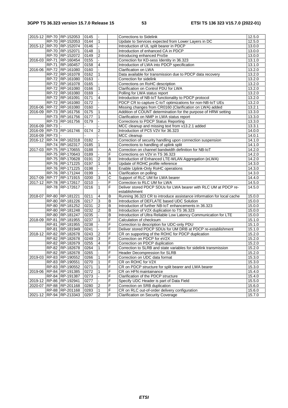|               | 2015-12 RP-70 RP-152053                    | 0145         |                |                | <b>Corrections to Sidelink</b>                                                                  | 12.5.0           |
|---------------|--------------------------------------------|--------------|----------------|----------------|-------------------------------------------------------------------------------------------------|------------------|
|               | RP-70 RP-152053                            | 0144         | $\mathbf{1}$   |                | Update to Services expected from Lower Layers in DC                                             | 12.5.0           |
|               | 2015-12 RP-70 RP-152074                    | 0146         |                |                | Introduction of UL split bearer in PDCP                                                         | 13.0.0           |
|               | RP-70 RP-152071                            | 0148         | $\overline{1}$ |                | Introduction of enhanced CA in PDCP                                                             | 13.0.0           |
|               | RP-70 RP-152072                            | 0149         | $\overline{2}$ |                | Introducing enhanced ProSe                                                                      | 13.0.0           |
|               | 2016-03 RP-71 RP-160454                    | 0155         |                |                | Correction for KD-sess Identity in 36.323                                                       | 13.1.0           |
|               | RP-71 RP-160457                            | 0158         | 4              |                | Introduction of LWA into PDCP specification                                                     | 13.1.0           |
|               | 2016-06 RP-72 RP-161080                    | 0160         |                |                | Clarification on LWA                                                                            | 13.2.0           |
|               | RP-72 RP-161078                            | 0162         | $\mathbf{1}$   |                | Data available for transmission due to PDCP data recovery                                       | 13.2.0           |
|               | RP-72 RP-161080                            | 0163         |                |                | Correction for sidelink                                                                         | 13.2.0           |
|               | RP-72 RP-161078                            | 0165         |                |                | Corrections on RoHC description                                                                 | 13.2.0           |
|               | RP-72 RP-161080                            | 0166         | $\mathbf{1}$   |                | Clarification on Control PDU for LWA                                                            | 13.2.0           |
|               | RP-72 RP-161080                            | 0169         |                |                | Polling for LWA status report                                                                   | 13.2.0           |
|               | RP-72 RP-161091                            | 0171         | 4              |                | Introduction of NB-IoT functionality to PDCP protocol                                           | 13.2.0           |
|               | RP-72 RP-161080                            | 0172         |                |                | PDCP CR to capture C-IoT optimizations for non-NB-IoT UEs                                       | 13.2.0           |
| 2016-06       | RP-72 RP-161080                            | 0160         |                |                | Missing changes from CR0160 (Clarification on LWA) added                                        | 13.2.1           |
|               | 2016-09 RP-73 RP-161756                    | 0175         | $\mathbf{1}$   |                | Addition of COUNT determination for the purpose of HRW setting                                  | 13.3.0           |
|               | RP-73 RP-161756                            | 0177         | $\mathbf{1}$   |                | Clarification on NMP in LWA status report                                                       | 13.3.0           |
|               | RP-73 RP-161756                            | 0179         |                |                | Corrections to PDCP Status Reporting                                                            | 13.3.0           |
| 2016-09 RP-73 |                                            |              |                |                | MCC cleanup and missing text from v13.2.1 added                                                 | 13.3.1           |
|               | 2016-09 RP-73 RP-161746                    | 0174         | $\overline{2}$ |                | Introduction of PC5 V2V for 36.323                                                              | 14.0.0           |
| 2016-09 RP-73 |                                            |              |                |                | MCC cleanup                                                                                     | 14.0.1           |
|               | 2016-12 RP-74 RP-162318                    | 0182         |                |                | Correction of security handling upon connection suspension                                      | 14.1.0           |
|               | RP-74 RP-162317                            | 0185         | $\mathbf{1}$   |                | Corrections to handling of uplink split                                                         | 14.1.0           |
|               | 2017-03 RP-75 RP-170655                    | 0188         |                | Α              |                                                                                                 | 14.2.0           |
|               | RP-75 RP-170643                            | 0189         |                | F              | Correction on channel bandwidth definition for NB-IoT<br>Corrections on V2V in TS 36.323        | 14.2.0           |
|               |                                            |              | $\overline{2}$ | $\overline{B}$ | Introduction of Enhanced LTE-WLAN Aggregation (eLWA)                                            |                  |
|               | RP-75 RP-170628<br>RP-76 RP-171225         | 0191<br>0197 | $\mathbf{1}$   | F              |                                                                                                 | 14.2.0<br>14.3.0 |
|               |                                            |              |                | B              | Update of ROHC profile reference                                                                |                  |
|               | RP-76 RP-171225<br>RP-76 RP-171244         | 0198<br>0199 |                | Ā              | Enable Uplink-Only RoHC operations<br>Clarification on polling                                  | 14.3.0<br>14.3.0 |
| 2017-09       | RP-77 RP-171915                            | 0200         | 3              | С              | Support of RLC UM for LWA bearer                                                                | 14.4.0           |
|               |                                            |              | $\blacksquare$ | F              |                                                                                                 |                  |
|               | 2017-12 RP-78 RP-172617<br>RP-78 RP-172617 | 0210<br>0216 | $\mathbf{1}$   | F              | Correction to RLC UM for LWA<br>Deliver stored PDCP SDUs for LWA bearer with RLC UM at PDCP re- | 14.5.0<br>14.5.0 |
|               |                                            |              |                |                | establishment                                                                                   |                  |
| 2018-07       | RP-80 RP-181221                            | 0211         | $\overline{4}$ | B              | Running 36.323 CR to introduce assistance information for local cache                           | 15.0.0           |
|               | RP-80 RP-181226                            | 0217         | $\overline{3}$ | B              | Introduction of DEFLATE based UDC Solution                                                      | 15.0.0           |
|               | RP-80 RP-181252                            | 0231         | $\overline{2}$ | B              | Introduction of further NB-IoT enhancements in 36.323                                           | 15.0.0           |
|               | RP-80 RP-181248                            | 0232         | $\overline{2}$ | B              | Introduction of V2X duplication to TS 36.323                                                    | 15.0.0           |
|               | RP-80 RP-181247                            | 0235         |                | B              | Introduction of Ultra Reliable Low Latency Communication for LTE                                | 15.0.0           |
|               | 2018-09 RP-81 RP-181955                    | 0237         | $\mathbf{1}$   | F              | Calculation of checksum                                                                         | 15.1.0           |
|               | RP-81 RP-181955                            | 0238         |                | F              | Correction to description for UDC-only PDU                                                      |                  |
|               |                                            |              |                |                |                                                                                                 | 15.1.0           |
|               | RP-81 RP-181949<br>2018-12 RP-82 RP-182678 | 0241         | $\overline{2}$ | F<br>F         | Deliver stored PDCP SDUs for UM DRB at PDCP re-establishment                                    | 15.1.0           |
|               |                                            | 0243         | 3              |                | CR on supporting of the ROHC for PDCP duplication                                               | 15.2.0           |
|               | RP-82 RP-182678                            | 0249         | 4              | F<br>F         | Correction on PDCP for eV2X                                                                     | 15.2.0           |
|               | RP-82 RP-182679<br>RP-82 RP-182678         | 0255         | $\mathbf{1}$   | F              | Correction on PDCP duplication                                                                  | 15.2.0           |
|               |                                            | 0264         |                |                | Correction to SLRB and state variables for sidelink transmission                                | 15.2.0           |
|               | RP-82   RP-182678                          | 0265         |                | ΙF             | Header Decompression for SLRB                                                                   | 15.2.0           |
|               | 2019-03 RP-83 RP-190552                    | 0266         | $\mathbf{1}$   | F              | Correction on UDC data format                                                                   | 15.3.0           |
|               | RP-83 RP-190551                            | 0270         | 1              | F              | CR on ROHC for V2X                                                                              | 15.3.0           |
|               | RP-83 RP-190552                            | 0271         | 1              | F              | CR on PDCP structure for split bearer and LWA bearer                                            | 15.3.0           |
|               | 2019-06 RP-84 RP-191385                    | 0272         | 1              | F              | CR on HFN maintainance                                                                          | 15.4.0           |
|               | RP-84 RP-191387                            | 0273         |                | F              | Clarification of the PDCP structure                                                             | 15.4.0           |
|               | 2019-12 RP-86 RP-192941                    | 0277         |                | F              | Specify UDC Header is part of Data Field                                                        | 15.5.0           |
|               | 2020-07 RP-88 RP-201168                    | 0280         | $\overline{2}$ | F              | Correction on SRB duplication                                                                   | 15.6.0           |
|               | RP-88 RP-201168                            | 0283         | 1              | F              | CR on RLC out-of-order delivery configuration                                                   | 15.6.0           |
|               | 2021-12 RP-94 RP-213343                    | 0297         | $\overline{2}$ | F              | <b>Clarification on Security Coverage</b>                                                       | 15.7.0           |